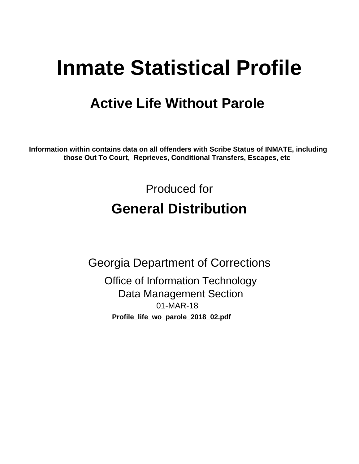# **Inmate Statistical Profile**

# **Active Life Without Parole**

Information within contains data on all offenders with Scribe Status of INMATE, including those Out To Court, Reprieves, Conditional Transfers, Escapes, etc

> Produced for **General Distribution**

**Georgia Department of Corrections Office of Information Technology Data Management Section** 01-MAR-18 Profile\_life\_wo\_parole\_2018\_02.pdf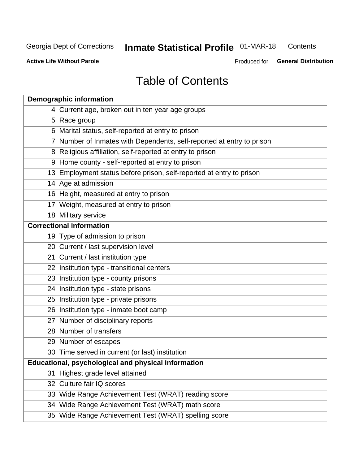#### Inmate Statistical Profile 01-MAR-18 Contents

**Active Life Without Parole** 

Produced for General Distribution

# **Table of Contents**

|    | <b>Demographic information</b>                                        |
|----|-----------------------------------------------------------------------|
|    | 4 Current age, broken out in ten year age groups                      |
|    | 5 Race group                                                          |
|    | 6 Marital status, self-reported at entry to prison                    |
|    | 7 Number of Inmates with Dependents, self-reported at entry to prison |
|    | 8 Religious affiliation, self-reported at entry to prison             |
|    | 9 Home county - self-reported at entry to prison                      |
|    | 13 Employment status before prison, self-reported at entry to prison  |
|    | 14 Age at admission                                                   |
|    | 16 Height, measured at entry to prison                                |
|    | 17 Weight, measured at entry to prison                                |
|    | 18 Military service                                                   |
|    | <b>Correctional information</b>                                       |
|    | 19 Type of admission to prison                                        |
|    | 20 Current / last supervision level                                   |
|    | 21 Current / last institution type                                    |
|    | 22 Institution type - transitional centers                            |
|    | 23 Institution type - county prisons                                  |
|    | 24 Institution type - state prisons                                   |
|    | 25 Institution type - private prisons                                 |
|    | 26 Institution type - inmate boot camp                                |
|    | 27 Number of disciplinary reports                                     |
|    | 28 Number of transfers                                                |
|    | 29 Number of escapes                                                  |
|    | 30 Time served in current (or last) institution                       |
|    | Educational, psychological and physical information                   |
| 31 | Highest grade level attained                                          |
|    | 32 Culture fair IQ scores                                             |
|    | 33 Wide Range Achievement Test (WRAT) reading score                   |
|    | 34 Wide Range Achievement Test (WRAT) math score                      |
|    | 35 Wide Range Achievement Test (WRAT) spelling score                  |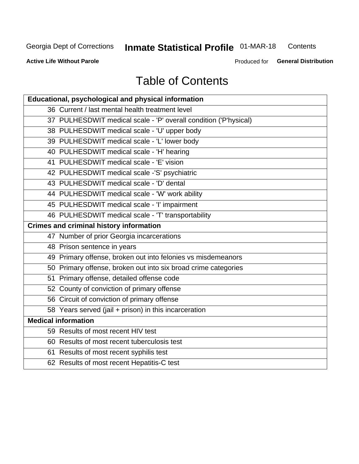# Inmate Statistical Profile 01-MAR-18

Contents

**Active Life Without Parole** 

Produced for General Distribution

# **Table of Contents**

| Educational, psychological and physical information              |
|------------------------------------------------------------------|
| 36 Current / last mental health treatment level                  |
| 37 PULHESDWIT medical scale - 'P' overall condition ('P'hysical) |
| 38 PULHESDWIT medical scale - 'U' upper body                     |
| 39 PULHESDWIT medical scale - 'L' lower body                     |
| 40 PULHESDWIT medical scale - 'H' hearing                        |
| 41 PULHESDWIT medical scale - 'E' vision                         |
| 42 PULHESDWIT medical scale -'S' psychiatric                     |
| 43 PULHESDWIT medical scale - 'D' dental                         |
| 44 PULHESDWIT medical scale - 'W' work ability                   |
| 45 PULHESDWIT medical scale - 'I' impairment                     |
| 46 PULHESDWIT medical scale - 'T' transportability               |
| <b>Crimes and criminal history information</b>                   |
| 47 Number of prior Georgia incarcerations                        |
| 48 Prison sentence in years                                      |
| 49 Primary offense, broken out into felonies vs misdemeanors     |
| 50 Primary offense, broken out into six broad crime categories   |
| 51 Primary offense, detailed offense code                        |
| 52 County of conviction of primary offense                       |
| 56 Circuit of conviction of primary offense                      |
| 58 Years served (jail + prison) in this incarceration            |
| <b>Medical information</b>                                       |
| 59 Results of most recent HIV test                               |
| 60 Results of most recent tuberculosis test                      |
| 61 Results of most recent syphilis test                          |
| 62 Results of most recent Hepatitis-C test                       |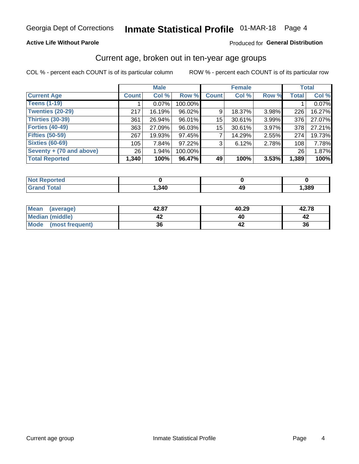#### **Active Life Without Parole**

#### Produced for General Distribution

### Current age, broken out in ten-year age groups

COL % - percent each COUNT is of its particular column

|                          | <b>Male</b>     |          |         |              | <b>Female</b> |       |              | <b>Total</b> |
|--------------------------|-----------------|----------|---------|--------------|---------------|-------|--------------|--------------|
| <b>Current Age</b>       | <b>Count</b>    | Col %    | Row %   | <b>Count</b> | Col %         | Row % | <b>Total</b> | Col %        |
| <b>Teens (1-19)</b>      |                 | $0.07\%$ | 100.00% |              |               |       |              | 0.07%        |
| <b>Twenties (20-29)</b>  | 217             | 16.19%   | 96.02%  | 9            | 18.37%        | 3.98% | 226          | 16.27%       |
| Thirties (30-39)         | 361             | 26.94%   | 96.01%  | 15           | 30.61%        | 3.99% | 376          | 27.07%       |
| <b>Forties (40-49)</b>   | 363             | 27.09%   | 96.03%  | 15           | 30.61%        | 3.97% | 378          | 27.21%       |
| <b>Fifties (50-59)</b>   | 267             | 19.93%   | 97.45%  |              | 14.29%        | 2.55% | 274          | 19.73%       |
| <b>Sixties (60-69)</b>   | 105             | 7.84%    | 97.22%  | 3            | 6.12%         | 2.78% | 108          | 7.78%        |
| Seventy + (70 and above) | 26 <sub>1</sub> | 1.94%    | 100.00% |              |               |       | 26           | 1.87%        |
| <b>Total Reported</b>    | 1,340           | 100%     | 96.47%  | 49           | 100%          | 3.53% | 1,389        | 100%         |

| the second and contact<br>prtea<br><b>NOT REPO</b><br>$\sim$ |      |      |
|--------------------------------------------------------------|------|------|
| $T0+0$                                                       | ,340 | ,389 |

| <b>Mean</b><br>(average) | 42.87 | 40.29 | 42.78 |
|--------------------------|-------|-------|-------|
| Median (middle)          |       |       |       |
| Mode<br>(most frequent)  | 36    |       | 36    |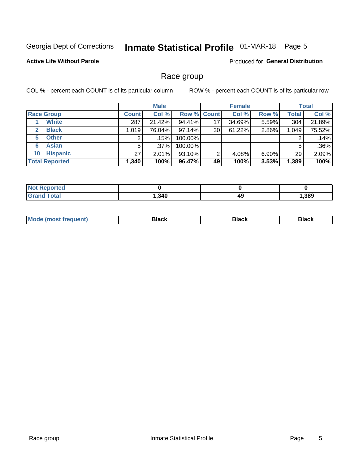### Inmate Statistical Profile 01-MAR-18 Page 5

#### **Active Life Without Parole**

Produced for General Distribution

### Race group

COL % - percent each COUNT is of its particular column

|                              | <b>Male</b>  |         |                    | <b>Female</b> |        |          | <b>Total</b> |        |
|------------------------------|--------------|---------|--------------------|---------------|--------|----------|--------------|--------|
| <b>Race Group</b>            | <b>Count</b> | Col %   | <b>Row % Count</b> |               | Col %  | Row %    | Total        | Col %  |
| <b>White</b>                 | 287          | 21.42%  | 94.41%             | 17            | 34.69% | 5.59%    | 304          | 21.89% |
| <b>Black</b><br>$\mathbf{2}$ | 1.019        | 76.04%  | 97.14%             | 30            | 61.22% | 2.86%    | 1,049        | 75.52% |
| <b>Other</b><br>5.           |              | .15%    | 100.00%            |               |        |          | 2            | .14%   |
| <b>Asian</b><br>6            | 5            | $.37\%$ | 100.00%            |               |        |          | 5            | .36%   |
| <b>Hispanic</b><br>10        | 27           | 2.01%   | 93.10%             | 2             | 4.08%  | $6.90\%$ | 29           | 2.09%  |
| <b>Total Reported</b>        | 1,340        | 100%    | 96.47%             | 49            | 100%   | 3.53%    | 1,389        | 100%   |

| .<br>rreo<br>∵NO). |       |    |      |
|--------------------|-------|----|------|
| $T \cap f \cap f$  | , 340 | 49 | ,389 |

| –•••• |  | M |  |  |  |
|-------|--|---|--|--|--|
|-------|--|---|--|--|--|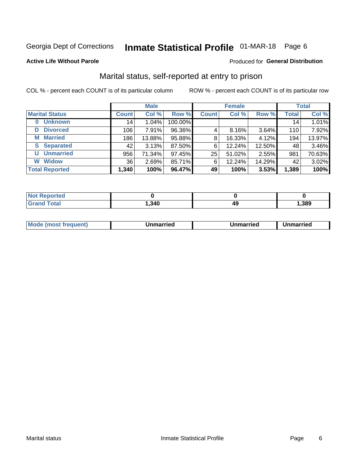### Inmate Statistical Profile 01-MAR-18 Page 6

#### **Active Life Without Parole**

#### **Produced for General Distribution**

### Marital status, self-reported at entry to prison

COL % - percent each COUNT is of its particular column

|                        | <b>Male</b>  |          |         | <b>Female</b> |        |        | <b>Total</b> |        |
|------------------------|--------------|----------|---------|---------------|--------|--------|--------------|--------|
| <b>Marital Status</b>  | <b>Count</b> | Col %    | Row %   | <b>Count</b>  | Col %  | Row %  | <b>Total</b> | Col %  |
| <b>Unknown</b><br>0    | 14           | $1.04\%$ | 100.00% |               |        |        | 14           | 1.01%  |
| <b>Divorced</b><br>D   | 106          | 7.91%    | 96.36%  | 4             | 8.16%  | 3.64%  | 110          | 7.92%  |
| <b>Married</b><br>М    | 186          | 13.88%   | 95.88%  | 8             | 16.33% | 4.12%  | 194          | 13.97% |
| <b>Separated</b><br>S. | 42           | 3.13%    | 87.50%  | 6             | 12.24% | 12.50% | 48           | 3.46%  |
| <b>Unmarried</b><br>U  | 956          | 71.34%   | 97.45%  | 25            | 51.02% | 2.55%  | 981          | 70.63% |
| <b>Widow</b><br>W      | 36           | 2.69%    | 85.71%  | 6             | 12.24% | 14.29% | 42           | 3.02%  |
| <b>Total Reported</b>  | 1,340        | 100%     | 96.47%  | 49            | 100%   | 3.53%  | 1,389        | 100%   |

| <b>Not Repo</b><br>prted |       |      |      |
|--------------------------|-------|------|------|
| Total                    | .340. | 11 L | ,389 |

|  | M | . | Unmarried | າmarried<br>_____ |
|--|---|---|-----------|-------------------|
|--|---|---|-----------|-------------------|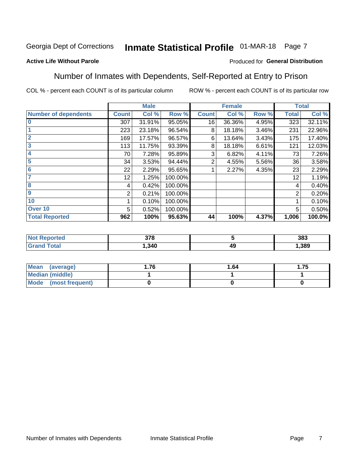### Inmate Statistical Profile 01-MAR-18 Page 7

#### **Active Life Without Parole**

#### Produced for General Distribution

### Number of Inmates with Dependents, Self-Reported at Entry to Prison

COL % - percent each COUNT is of its particular column

|                             |              | <b>Male</b> |         |              | <b>Female</b> |       |              | <b>Total</b> |
|-----------------------------|--------------|-------------|---------|--------------|---------------|-------|--------------|--------------|
| <b>Number of dependents</b> | <b>Count</b> | Col %       | Row %   | <b>Count</b> | Col %         | Row % | <b>Total</b> | Col %        |
| $\overline{0}$              | 307          | 31.91%      | 95.05%  | 16           | 36.36%        | 4.95% | 323          | 32.11%       |
|                             | 223          | 23.18%      | 96.54%  | 8            | 18.18%        | 3.46% | 231          | 22.96%       |
| $\overline{2}$              | 169          | 17.57%      | 96.57%  | 6            | 13.64%        | 3.43% | 175          | 17.40%       |
| $\overline{\mathbf{3}}$     | 113          | 11.75%      | 93.39%  | 8            | 18.18%        | 6.61% | 121          | 12.03%       |
| 4                           | 70           | 7.28%       | 95.89%  | 3            | 6.82%         | 4.11% | 73           | 7.26%        |
| 5                           | 34           | 3.53%       | 94.44%  | 2            | 4.55%         | 5.56% | 36           | 3.58%        |
| $6\phantom{1}6$             | 22           | 2.29%       | 95.65%  |              | 2.27%         | 4.35% | 23           | 2.29%        |
| 7                           | 12           | 1.25%       | 100.00% |              |               |       | 12           | 1.19%        |
| 8                           | 4            | 0.42%       | 100.00% |              |               |       | 4            | 0.40%        |
| 9                           | 2            | 0.21%       | 100.00% |              |               |       | 2            | 0.20%        |
| 10                          |              | 0.10%       | 100.00% |              |               |       | 1            | 0.10%        |
| Over 10                     | 5            | 0.52%       | 100.00% |              |               |       | 5            | 0.50%        |
| <b>Total Reported</b>       | 962          | 100%        | 95.63%  | 44           | 100%          | 4.37% | 1,006        | 100.0%       |

| ισυ | 270   |    | 383  |
|-----|-------|----|------|
|     | , 340 | 49 | .389 |

| Mean (average)          | ∣.76 | 1.64 | 75.، |
|-------------------------|------|------|------|
| Median (middle)         |      |      |      |
| Mode<br>(most frequent) |      |      |      |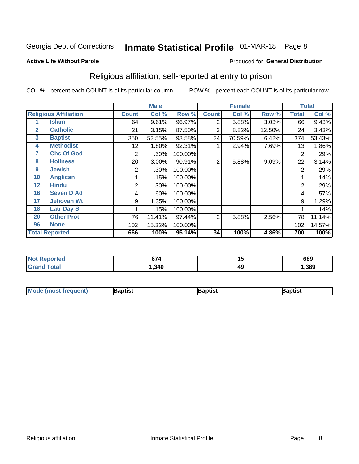### Inmate Statistical Profile 01-MAR-18 Page 8

#### **Active Life Without Parole**

#### Produced for General Distribution

### Religious affiliation, self-reported at entry to prison

COL % - percent each COUNT is of its particular column

|              |                              |                | <b>Male</b> |         |                | <b>Female</b> |        |                | <b>Total</b> |
|--------------|------------------------------|----------------|-------------|---------|----------------|---------------|--------|----------------|--------------|
|              | <b>Religious Affiliation</b> | <b>Count</b>   | Col %       | Row %   | <b>Count</b>   | Col %         | Row %  | <b>Total</b>   | Col %        |
|              | Islam                        | 64             | 9.61%       | 96.97%  | 2              | 5.88%         | 3.03%  | 66             | 9.43%        |
| $\mathbf{2}$ | <b>Catholic</b>              | 21             | 3.15%       | 87.50%  | 3              | 8.82%         | 12.50% | 24             | 3.43%        |
| 3            | <b>Baptist</b>               | 350            | 52.55%      | 93.58%  | 24             | 70.59%        | 6.42%  | 374            | 53.43%       |
| 4            | <b>Methodist</b>             | 12             | 1.80%       | 92.31%  |                | 2.94%         | 7.69%  | 13             | 1.86%        |
| 7            | <b>Chc Of God</b>            | 2              | .30%        | 100.00% |                |               |        | $\overline{2}$ | .29%         |
| 8            | <b>Holiness</b>              | 20             | 3.00%       | 90.91%  | 2              | 5.88%         | 9.09%  | 22             | 3.14%        |
| 9            | <b>Jewish</b>                | 2              | .30%        | 100.00% |                |               |        | $\overline{2}$ | .29%         |
| 10           | <b>Anglican</b>              |                | .15%        | 100.00% |                |               |        |                | .14%         |
| 12           | <b>Hindu</b>                 | $\overline{2}$ | .30%        | 100.00% |                |               |        | $\overline{2}$ | .29%         |
| 16           | <b>Seven D Ad</b>            | 4              | .60%        | 100.00% |                |               |        | 4              | .57%         |
| 17           | <b>Jehovah Wt</b>            | 9              | 1.35%       | 100.00% |                |               |        | 9              | 1.29%        |
| 18           | <b>Latr Day S</b>            |                | .15%        | 100.00% |                |               |        |                | .14%         |
| 20           | <b>Other Prot</b>            | 76             | 11.41%      | 97.44%  | $\overline{2}$ | 5.88%         | 2.56%  | 78             | 11.14%       |
| 96           | <b>None</b>                  | 102            | 15.32%      | 100.00% |                |               |        | 102            | 14.57%       |
|              | <b>Total Reported</b>        | 666            | 100%        | 95.14%  | 34             | 100%          | 4.86%  | 700            | 100%         |

| rteo    | $\sim$ | . . | 689  |
|---------|--------|-----|------|
| $\sim$  | 74     | . . |      |
| المقماد | ,340   | 49  | .389 |

| <b>Mode (most frequent)</b> | 3aptist | 3aptist | Baptist |
|-----------------------------|---------|---------|---------|
|-----------------------------|---------|---------|---------|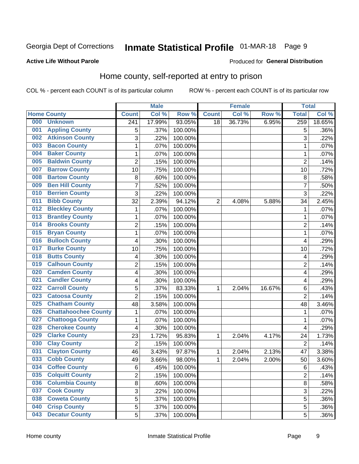# Inmate Statistical Profile 01-MAR-18 Page 9

#### **Active Life Without Parole**

#### **Produced for General Distribution**

### Home county, self-reported at entry to prison

COL % - percent each COUNT is of its particular column

|     |                             |                  | <b>Male</b> |         |                | <b>Female</b> |        | <b>Total</b>            |        |
|-----|-----------------------------|------------------|-------------|---------|----------------|---------------|--------|-------------------------|--------|
|     | <b>Home County</b>          | <b>Count</b>     | Col %       | Row %   | <b>Count</b>   | Col %         | Row %  | <b>Total</b>            | Col %  |
| 000 | <b>Unknown</b>              | $\overline{241}$ | 17.99%      | 93.05%  | 18             | 36.73%        | 6.95%  | 259                     | 18.65% |
| 001 | <b>Appling County</b>       | 5                | .37%        | 100.00% |                |               |        | 5                       | .36%   |
| 002 | <b>Atkinson County</b>      | 3                | .22%        | 100.00% |                |               |        | 3                       | .22%   |
| 003 | <b>Bacon County</b>         | 1                | .07%        | 100.00% |                |               |        | 1                       | .07%   |
| 004 | <b>Baker County</b>         | 1                | .07%        | 100.00% |                |               |        | 1                       | .07%   |
| 005 | <b>Baldwin County</b>       | $\overline{2}$   | .15%        | 100.00% |                |               |        | $\overline{2}$          | .14%   |
| 007 | <b>Barrow County</b>        | 10               | .75%        | 100.00% |                |               |        | 10                      | .72%   |
| 008 | <b>Bartow County</b>        | $\, 8$           | .60%        | 100.00% |                |               |        | 8                       | .58%   |
| 009 | <b>Ben Hill County</b>      | 7                | .52%        | 100.00% |                |               |        | $\overline{7}$          | .50%   |
| 010 | <b>Berrien County</b>       | 3                | .22%        | 100.00% |                |               |        | 3                       | .22%   |
| 011 | <b>Bibb County</b>          | 32               | 2.39%       | 94.12%  | $\overline{2}$ | 4.08%         | 5.88%  | 34                      | 2.45%  |
| 012 | <b>Bleckley County</b>      | 1                | .07%        | 100.00% |                |               |        | 1                       | .07%   |
| 013 | <b>Brantley County</b>      | 1                | .07%        | 100.00% |                |               |        | 1                       | .07%   |
| 014 | <b>Brooks County</b>        | $\overline{2}$   | .15%        | 100.00% |                |               |        | $\overline{2}$          | .14%   |
| 015 | <b>Bryan County</b>         | $\mathbf{1}$     | .07%        | 100.00% |                |               |        | 1                       | .07%   |
| 016 | <b>Bulloch County</b>       | 4                | .30%        | 100.00% |                |               |        | 4                       | .29%   |
| 017 | <b>Burke County</b>         | 10               | .75%        | 100.00% |                |               |        | 10                      | .72%   |
| 018 | <b>Butts County</b>         | 4                | .30%        | 100.00% |                |               |        | 4                       | .29%   |
| 019 | <b>Calhoun County</b>       | $\overline{2}$   | .15%        | 100.00% |                |               |        | $\overline{2}$          | .14%   |
| 020 | <b>Camden County</b>        | 4                | .30%        | 100.00% |                |               |        | 4                       | .29%   |
| 021 | <b>Candler County</b>       | 4                | .30%        | 100.00% |                |               |        | 4                       | .29%   |
| 022 | <b>Carroll County</b>       | 5                | .37%        | 83.33%  | $\mathbf{1}$   | 2.04%         | 16.67% | 6                       | .43%   |
| 023 | <b>Catoosa County</b>       | $\overline{2}$   | .15%        | 100.00% |                |               |        | $\overline{2}$          | .14%   |
| 025 | <b>Chatham County</b>       | 48               | 3.58%       | 100.00% |                |               |        | 48                      | 3.46%  |
| 026 | <b>Chattahoochee County</b> | 1                | .07%        | 100.00% |                |               |        | 1                       | .07%   |
| 027 | <b>Chattooga County</b>     | 1                | .07%        | 100.00% |                |               |        | 1                       | .07%   |
| 028 | <b>Cherokee County</b>      | 4                | .30%        | 100.00% |                |               |        | $\overline{\mathbf{4}}$ | .29%   |
| 029 | <b>Clarke County</b>        | 23               | 1.72%       | 95.83%  | $\mathbf{1}$   | 2.04%         | 4.17%  | 24                      | 1.73%  |
| 030 | <b>Clay County</b>          | $\overline{2}$   | .15%        | 100.00% |                |               |        | $\overline{2}$          | .14%   |
| 031 | <b>Clayton County</b>       | 46               | 3.43%       | 97.87%  | 1              | 2.04%         | 2.13%  | 47                      | 3.38%  |
| 033 | <b>Cobb County</b>          | 49               | 3.66%       | 98.00%  | 1              | 2.04%         | 2.00%  | 50                      | 3.60%  |
| 034 | <b>Coffee County</b>        | 6                | .45%        | 100.00% |                |               |        | 6                       | .43%   |
| 035 | <b>Colquitt County</b>      | 2                | .15%        | 100.00% |                |               |        | $\overline{2}$          | .14%   |
| 036 | <b>Columbia County</b>      | 8                | .60%        | 100.00% |                |               |        | 8                       | .58%   |
| 037 | <b>Cook County</b>          | $\overline{3}$   | .22%        | 100.00% |                |               |        | 3                       | .22%   |
| 038 | <b>Coweta County</b>        | 5                | .37%        | 100.00% |                |               |        | 5                       | .36%   |
| 040 | <b>Crisp County</b>         | 5                | .37%        | 100.00% |                |               |        | 5                       | .36%   |
| 043 | <b>Decatur County</b>       | 5                | .37%        | 100.00% |                |               |        | 5                       | .36%   |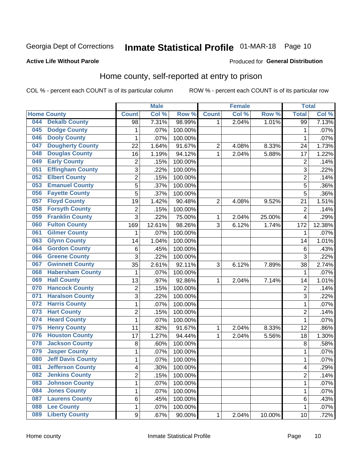### Inmate Statistical Profile 01-MAR-18 Page 10

#### **Active Life Without Parole**

#### Produced for General Distribution

### Home county, self-reported at entry to prison

COL % - percent each COUNT is of its particular column

|     |                          |                         | <b>Male</b> |         |                         | <b>Female</b> |        | <b>Total</b>   |        |
|-----|--------------------------|-------------------------|-------------|---------|-------------------------|---------------|--------|----------------|--------|
|     | <b>Home County</b>       | <b>Count</b>            | Col %       | Row %   | <b>Count</b>            | Col %         | Row %  | <b>Total</b>   | Col%   |
| 044 | <b>Dekalb County</b>     | 98                      | 7.31%       | 98.99%  | 1                       | 2.04%         | 1.01%  | 99             | 7.13%  |
| 045 | <b>Dodge County</b>      | 1                       | .07%        | 100.00% |                         |               |        | 1              | .07%   |
| 046 | <b>Dooly County</b>      | 1                       | .07%        | 100.00% |                         |               |        | 1              | .07%   |
| 047 | <b>Dougherty County</b>  | 22                      | 1.64%       | 91.67%  | $\overline{\mathbf{c}}$ | 4.08%         | 8.33%  | 24             | 1.73%  |
| 048 | <b>Douglas County</b>    | 16                      | 1.19%       | 94.12%  | $\mathbf{1}$            | 2.04%         | 5.88%  | 17             | 1.22%  |
| 049 | <b>Early County</b>      | $\overline{\mathbf{c}}$ | .15%        | 100.00% |                         |               |        | $\overline{c}$ | .14%   |
| 051 | <b>Effingham County</b>  | 3                       | .22%        | 100.00% |                         |               |        | 3              | .22%   |
| 052 | <b>Elbert County</b>     | $\overline{2}$          | .15%        | 100.00% |                         |               |        | $\overline{2}$ | .14%   |
| 053 | <b>Emanuel County</b>    | 5                       | .37%        | 100.00% |                         |               |        | 5              | .36%   |
| 056 | <b>Fayette County</b>    | 5                       | .37%        | 100.00% |                         |               |        | 5              | .36%   |
| 057 | <b>Floyd County</b>      | 19                      | 1.42%       | 90.48%  | $\overline{2}$          | 4.08%         | 9.52%  | 21             | 1.51%  |
| 058 | <b>Forsyth County</b>    | $\overline{2}$          | .15%        | 100.00% |                         |               |        | $\overline{2}$ | .14%   |
| 059 | <b>Franklin County</b>   | 3                       | .22%        | 75.00%  | $\mathbf 1$             | 2.04%         | 25.00% | 4              | .29%   |
| 060 | <b>Fulton County</b>     | 169                     | 12.61%      | 98.26%  | 3                       | 6.12%         | 1.74%  | 172            | 12.38% |
| 061 | <b>Gilmer County</b>     | 1                       | .07%        | 100.00% |                         |               |        | 1              | .07%   |
| 063 | <b>Glynn County</b>      | 14                      | 1.04%       | 100.00% |                         |               |        | 14             | 1.01%  |
| 064 | <b>Gordon County</b>     | 6                       | .45%        | 100.00% |                         |               |        | $\,6$          | .43%   |
| 066 | <b>Greene County</b>     | 3                       | .22%        | 100.00% |                         |               |        | 3              | .22%   |
| 067 | <b>Gwinnett County</b>   | 35                      | 2.61%       | 92.11%  | 3                       | 6.12%         | 7.89%  | 38             | 2.74%  |
| 068 | <b>Habersham County</b>  | 1                       | .07%        | 100.00% |                         |               |        | 1              | .07%   |
| 069 | <b>Hall County</b>       | 13                      | .97%        | 92.86%  | 1                       | 2.04%         | 7.14%  | 14             | 1.01%  |
| 070 | <b>Hancock County</b>    | $\overline{2}$          | .15%        | 100.00% |                         |               |        | $\overline{2}$ | .14%   |
| 071 | <b>Haralson County</b>   | 3                       | .22%        | 100.00% |                         |               |        | 3              | .22%   |
| 072 | <b>Harris County</b>     | $\mathbf 1$             | .07%        | 100.00% |                         |               |        | 1              | .07%   |
| 073 | <b>Hart County</b>       | $\overline{c}$          | .15%        | 100.00% |                         |               |        | $\overline{c}$ | .14%   |
| 074 | <b>Heard County</b>      | 1                       | .07%        | 100.00% |                         |               |        | 1              | .07%   |
| 075 | <b>Henry County</b>      | 11                      | .82%        | 91.67%  | 1                       | 2.04%         | 8.33%  | 12             | .86%   |
| 076 | <b>Houston County</b>    | 17                      | 1.27%       | 94.44%  | 1                       | 2.04%         | 5.56%  | 18             | 1.30%  |
| 078 | <b>Jackson County</b>    | 8                       | .60%        | 100.00% |                         |               |        | 8              | .58%   |
| 079 | <b>Jasper County</b>     | $\mathbf 1$             | .07%        | 100.00% |                         |               |        | 1              | .07%   |
| 080 | <b>Jeff Davis County</b> | $\mathbf 1$             | .07%        | 100.00% |                         |               |        | 1              | .07%   |
| 081 | <b>Jefferson County</b>  | $\overline{\mathbf{4}}$ | .30%        | 100.00% |                         |               |        | 4              | .29%   |
| 082 | <b>Jenkins County</b>    | $\overline{2}$          | .15%        | 100.00% |                         |               |        | $\overline{2}$ | .14%   |
| 083 | <b>Johnson County</b>    | $\mathbf 1$             | .07%        | 100.00% |                         |               |        | 1              | .07%   |
| 084 | <b>Jones County</b>      | $\mathbf 1$             | .07%        | 100.00% |                         |               |        | 1              | .07%   |
| 087 | <b>Laurens County</b>    | 6                       | .45%        | 100.00% |                         |               |        | 6              | .43%   |
| 088 | <b>Lee County</b>        | $\mathbf{1}$            | .07%        | 100.00% |                         |               |        | 1              | .07%   |
| 089 | <b>Liberty County</b>    | 9                       | .67%        | 90.00%  | 1                       | 2.04%         | 10.00% | 10             | .72%   |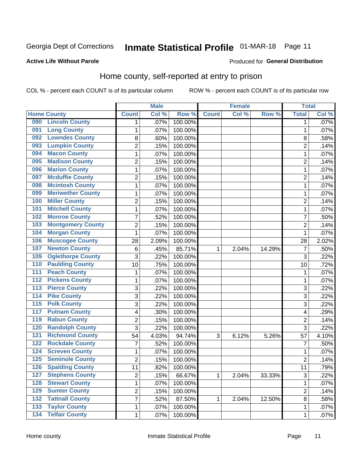# Inmate Statistical Profile 01-MAR-18 Page 11

#### **Active Life Without Parole**

#### Produced for General Distribution

### Home county, self-reported at entry to prison

COL % - percent each COUNT is of its particular column

|                  |                          |                         | <b>Male</b> |         |              | <b>Female</b> |        | <b>Total</b>   |       |
|------------------|--------------------------|-------------------------|-------------|---------|--------------|---------------|--------|----------------|-------|
|                  | <b>Home County</b>       | <b>Count</b>            | Col %       | Row %   | <b>Count</b> | Col%          | Row %  | <b>Total</b>   | Col % |
| 090              | <b>Lincoln County</b>    | 1                       | .07%        | 100.00% |              |               |        | 1              | .07%  |
| 091              | <b>Long County</b>       | $\mathbf{1}$            | .07%        | 100.00% |              |               |        | 1              | .07%  |
| 092              | <b>Lowndes County</b>    | 8                       | .60%        | 100.00% |              |               |        | 8              | .58%  |
| 093              | <b>Lumpkin County</b>    | $\overline{2}$          | .15%        | 100.00% |              |               |        | $\overline{2}$ | .14%  |
| 094              | <b>Macon County</b>      | $\mathbf 1$             | .07%        | 100.00% |              |               |        | 1              | .07%  |
| 095              | <b>Madison County</b>    | $\overline{2}$          | .15%        | 100.00% |              |               |        | $\overline{2}$ | .14%  |
| 096              | <b>Marion County</b>     | $\mathbf 1$             | .07%        | 100.00% |              |               |        | 1              | .07%  |
| 097              | <b>Mcduffie County</b>   | $\overline{2}$          | .15%        | 100.00% |              |               |        | $\overline{2}$ | .14%  |
| 098              | <b>Mcintosh County</b>   | $\mathbf 1$             | .07%        | 100.00% |              |               |        | 1              | .07%  |
| 099              | <b>Meriwether County</b> | $\mathbf 1$             | .07%        | 100.00% |              |               |        | 1              | .07%  |
| 100              | <b>Miller County</b>     | $\overline{c}$          | .15%        | 100.00% |              |               |        | $\overline{c}$ | .14%  |
| 101              | <b>Mitchell County</b>   | $\mathbf 1$             | .07%        | 100.00% |              |               |        | 1              | .07%  |
| 102              | <b>Monroe County</b>     | 7                       | .52%        | 100.00% |              |               |        | 7              | .50%  |
| 103              | <b>Montgomery County</b> | $\overline{c}$          | .15%        | 100.00% |              |               |        | $\overline{2}$ | .14%  |
| 104              | <b>Morgan County</b>     | $\mathbf{1}$            | .07%        | 100.00% |              |               |        | 1              | .07%  |
| 106              | <b>Muscogee County</b>   | 28                      | 2.09%       | 100.00% |              |               |        | 28             | 2.02% |
| 107              | <b>Newton County</b>     | 6                       | .45%        | 85.71%  | 1            | 2.04%         | 14.29% | $\overline{7}$ | .50%  |
| 109              | <b>Oglethorpe County</b> | 3                       | .22%        | 100.00% |              |               |        | 3              | .22%  |
| 110              | <b>Paulding County</b>   | 10                      | .75%        | 100.00% |              |               |        | 10             | .72%  |
| 111              | <b>Peach County</b>      | $\mathbf 1$             | .07%        | 100.00% |              |               |        | 1              | .07%  |
| $\overline{112}$ | <b>Pickens County</b>    | $\mathbf 1$             | .07%        | 100.00% |              |               |        | 1              | .07%  |
| 113              | <b>Pierce County</b>     | 3                       | .22%        | 100.00% |              |               |        | 3              | .22%  |
| 114              | <b>Pike County</b>       | 3                       | .22%        | 100.00% |              |               |        | 3              | .22%  |
| 115              | <b>Polk County</b>       | 3                       | .22%        | 100.00% |              |               |        | 3              | .22%  |
| 117              | <b>Putnam County</b>     | 4                       | .30%        | 100.00% |              |               |        | 4              | .29%  |
| 119              | <b>Rabun County</b>      | $\overline{c}$          | .15%        | 100.00% |              |               |        | $\overline{2}$ | .14%  |
| 120              | <b>Randolph County</b>   | 3                       | .22%        | 100.00% |              |               |        | 3              | .22%  |
| 121              | <b>Richmond County</b>   | 54                      | 4.03%       | 94.74%  | 3            | 6.12%         | 5.26%  | 57             | 4.10% |
| 122              | <b>Rockdale County</b>   | 7                       | .52%        | 100.00% |              |               |        | $\overline{7}$ | .50%  |
| 124              | <b>Screven County</b>    | $\mathbf 1$             | .07%        | 100.00% |              |               |        | 1              | .07%  |
| 125              | <b>Seminole County</b>   | $\overline{2}$          | .15%        | 100.00% |              |               |        | $\overline{2}$ | .14%  |
| 126              | <b>Spalding County</b>   | 11                      | .82%        | 100.00% |              |               |        | 11             | .79%  |
| 127              | <b>Stephens County</b>   | $\overline{2}$          | .15%        | 66.67%  | 1            | 2.04%         | 33.33% | 3              | .22%  |
| 128              | <b>Stewart County</b>    | $\mathbf{1}$            | .07%        | 100.00% |              |               |        | 1              | .07%  |
| 129              | <b>Sumter County</b>     | $\overline{\mathbf{c}}$ | .15%        | 100.00% |              |               |        | $\overline{c}$ | .14%  |
| 132              | <b>Tattnall County</b>   | $\overline{7}$          | .52%        | 87.50%  | 1            | 2.04%         | 12.50% | $\bf 8$        | .58%  |
| 133              | <b>Taylor County</b>     | $\mathbf{1}$            | .07%        | 100.00% |              |               |        | 1              | .07%  |
| 134              | <b>Telfair County</b>    | $\mathbf{1}$            | .07%        | 100.00% |              |               |        | 1              | .07%  |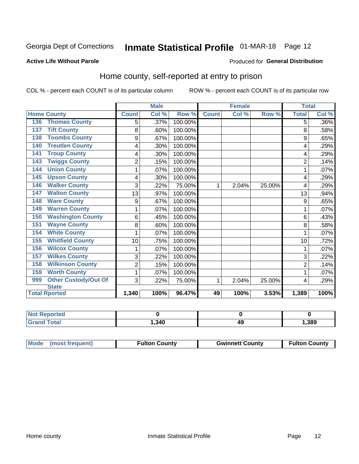### Inmate Statistical Profile 01-MAR-18 Page 12

#### **Active Life Without Parole**

#### Produced for General Distribution

### Home county, self-reported at entry to prison

COL % - percent each COUNT is of its particular column

|                                    |                | <b>Male</b> |         |              | <b>Female</b> |        | <b>Total</b>   |       |
|------------------------------------|----------------|-------------|---------|--------------|---------------|--------|----------------|-------|
| <b>Home County</b>                 | <b>Count</b>   | Col %       | Row %   | <b>Count</b> | Col %         | Row %  | <b>Total</b>   | Col % |
| <b>Thomas County</b><br>136        | 5              | .37%        | 100.00% |              |               |        | 5              | .36%  |
| <b>Tift County</b><br>137          | 8              | .60%        | 100.00% |              |               |        | 8              | .58%  |
| <b>Toombs County</b><br>138        | 9              | .67%        | 100.00% |              |               |        | 9              | .65%  |
| <b>Treutlen County</b><br>140      | 4              | .30%        | 100.00% |              |               |        | 4              | .29%  |
| <b>Troup County</b><br>141         | 4              | .30%        | 100.00% |              |               |        | 4              | .29%  |
| <b>Twiggs County</b><br>143        | $\overline{2}$ | .15%        | 100.00% |              |               |        | $\overline{2}$ | .14%  |
| <b>Union County</b><br>144         | 1              | .07%        | 100.00% |              |               |        | 1              | .07%  |
| <b>Upson County</b><br>145         | 4              | .30%        | 100.00% |              |               |        | 4              | .29%  |
| <b>Walker County</b><br>146        | 3              | .22%        | 75.00%  | 1            | 2.04%         | 25.00% | 4              | .29%  |
| <b>Walton County</b><br>147        | 13             | .97%        | 100.00% |              |               |        | 13             | .94%  |
| <b>Ware County</b><br>148          | 9              | .67%        | 100.00% |              |               |        | 9              | .65%  |
| <b>Warren County</b><br>149        | 1              | .07%        | 100.00% |              |               |        | 1              | .07%  |
| <b>Washington County</b><br>150    | 6              | .45%        | 100.00% |              |               |        | 6              | .43%  |
| <b>Wayne County</b><br>151         | 8              | .60%        | 100.00% |              |               |        | 8              | .58%  |
| <b>White County</b><br>154         | 1              | .07%        | 100.00% |              |               |        |                | .07%  |
| <b>Whitfield County</b><br>155     | 10             | .75%        | 100.00% |              |               |        | 10             | .72%  |
| <b>Wilcox County</b><br>156        | 1              | .07%        | 100.00% |              |               |        | 1              | .07%  |
| <b>Wilkes County</b><br>157        | 3              | .22%        | 100.00% |              |               |        | 3              | .22%  |
| <b>Wilkinson County</b><br>158     | $\overline{2}$ | .15%        | 100.00% |              |               |        | $\overline{2}$ | .14%  |
| <b>Worth County</b><br>159         | 1              | .07%        | 100.00% |              |               |        | 1              | .07%  |
| <b>Other Custody/Out Of</b><br>999 | 3              | .22%        | 75.00%  | 1            | 2.04%         | 25.00% | 4              | .29%  |
| <b>State</b>                       |                |             |         |              |               |        |                |       |
| <b>Total Rported</b>               | 1,340          | 100%        | 96.47%  | 49           | 100%          | 3.53%  | 1,389          | 100%  |

| <b>rted</b><br>NI. |        |          |       |
|--------------------|--------|----------|-------|
| <b>otal</b>        | 340، ا | лс<br>᠇w | 1,389 |

| Mode (most frequent) | <b>Fulton County</b> | <b>Gwinnett County</b> | <b>Fulton County</b> |
|----------------------|----------------------|------------------------|----------------------|
|                      |                      |                        |                      |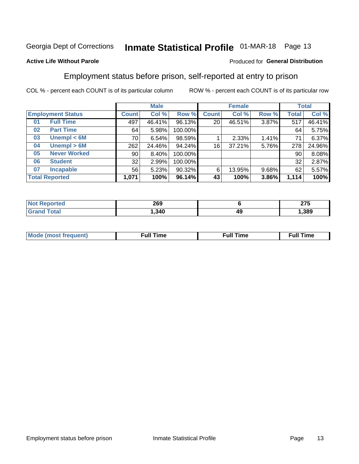# Inmate Statistical Profile 01-MAR-18 Page 13

#### **Active Life Without Parole**

#### Produced for General Distribution

### Employment status before prison, self-reported at entry to prison

COL % - percent each COUNT is of its particular column

|                           |         | <b>Male</b> |         |              | <b>Female</b> |       |       | <b>Total</b> |
|---------------------------|---------|-------------|---------|--------------|---------------|-------|-------|--------------|
| <b>Employment Status</b>  | Count l | Col %       | Row %   | <b>Count</b> | Col %         | Row % | Total | Col %        |
| <b>Full Time</b><br>01    | 497     | 46.41%      | 96.13%  | 20           | 46.51%        | 3.87% | 517   | 46.41%       |
| <b>Part Time</b><br>02    | 64      | 5.98%       | 100.00% |              |               |       | 64    | 5.75%        |
| Unempl $<$ 6M<br>03       | 70 l    | 6.54%       | 98.59%  |              | 2.33%         | 1.41% | 71    | 6.37%        |
| Unempl > 6M<br>04         | 262     | 24.46%      | 94.24%  | 16           | 37.21%        | 5.76% | 278   | 24.96%       |
| <b>Never Worked</b><br>05 | 90      | 8.40%       | 100.00% |              |               |       | 90    | 8.08%        |
| <b>Student</b><br>06      | 32      | 2.99%       | 100.00% |              |               |       | 32    | 2.87%        |
| <b>Incapable</b><br>07    | 56      | 5.23%       | 90.32%  | 6            | 13.95%        | 9.68% | 62    | 5.57%        |
| <b>Total Reported</b>     | 1,071   | 100%        | 96.14%  | 43           | 100%          | 3.86% | 1,114 | 100%         |

| 269   |    | 87 F<br>21 J |
|-------|----|--------------|
| , 340 | 49 | ,389         |

| Mc | ∴ull | ----<br>ıme<br>w |
|----|------|------------------|
|    |      |                  |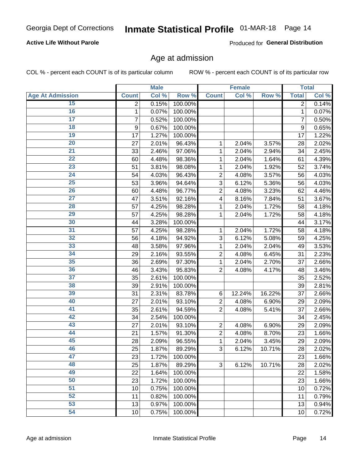#### **Active Life Without Parole**

Produced for General Distribution

### Age at admission

COL % - percent each COUNT is of its particular column

|                         |              | <b>Male</b> |         |                | <b>Female</b> |        |                | <b>Total</b> |
|-------------------------|--------------|-------------|---------|----------------|---------------|--------|----------------|--------------|
| <b>Age At Admission</b> | <b>Count</b> | Col %       | Row %   | <b>Count</b>   | Col %         | Row %  | <b>Total</b>   | Col %        |
| 15                      | 2            | 0.15%       | 100.00% |                |               |        | 2              | 0.14%        |
| 16                      | 1            | 0.07%       | 100.00% |                |               |        | 1              | 0.07%        |
| $\overline{17}$         | 7            | 0.52%       | 100.00% |                |               |        | $\overline{7}$ | 0.50%        |
| 18                      | 9            | 0.67%       | 100.00% |                |               |        | 9              | 0.65%        |
| 19                      | 17           | 1.27%       | 100.00% |                |               |        | 17             | 1.22%        |
| $\overline{20}$         | 27           | 2.01%       | 96.43%  | 1              | 2.04%         | 3.57%  | 28             | 2.02%        |
| 21                      | 33           | 2.46%       | 97.06%  | 1              | 2.04%         | 2.94%  | 34             | 2.45%        |
| 22                      | 60           | 4.48%       | 98.36%  | 1              | 2.04%         | 1.64%  | 61             | 4.39%        |
| 23                      | 51           | 3.81%       | 98.08%  | 1              | 2.04%         | 1.92%  | 52             | 3.74%        |
| 24                      | 54           | 4.03%       | 96.43%  | $\overline{2}$ | 4.08%         | 3.57%  | 56             | 4.03%        |
| $\overline{25}$         | 53           | 3.96%       | 94.64%  | 3              | 6.12%         | 5.36%  | 56             | 4.03%        |
| 26                      | 60           | 4.48%       | 96.77%  | $\overline{2}$ | 4.08%         | 3.23%  | 62             | 4.46%        |
| $\overline{27}$         | 47           | 3.51%       | 92.16%  | 4              | 8.16%         | 7.84%  | 51             | 3.67%        |
| 28                      | 57           | 4.25%       | 98.28%  | 1              | 2.04%         | 1.72%  | 58             | 4.18%        |
| 29                      | 57           | 4.25%       | 98.28%  | 1              | 2.04%         | 1.72%  | 58             | 4.18%        |
| 30                      | 44           | 3.28%       | 100.00% |                |               |        | 44             | 3.17%        |
| 31                      | 57           | 4.25%       | 98.28%  | 1              | 2.04%         | 1.72%  | 58             | 4.18%        |
| 32                      | 56           | 4.18%       | 94.92%  | 3              | 6.12%         | 5.08%  | 59             | 4.25%        |
| 33                      | 48           | 3.58%       | 97.96%  | 1              | 2.04%         | 2.04%  | 49             | 3.53%        |
| 34                      | 29           | 2.16%       | 93.55%  | $\overline{2}$ | 4.08%         | 6.45%  | 31             | 2.23%        |
| 35                      | 36           | 2.69%       | 97.30%  | 1              | 2.04%         | 2.70%  | 37             | 2.66%        |
| 36                      | 46           | 3.43%       | 95.83%  | $\overline{2}$ | 4.08%         | 4.17%  | 48             | 3.46%        |
| $\overline{37}$         | 35           | 2.61%       | 100.00% |                |               |        | 35             | 2.52%        |
| 38                      | 39           | 2.91%       | 100.00% |                |               |        | 39             | 2.81%        |
| 39                      | 31           | 2.31%       | 83.78%  | 6              | 12.24%        | 16.22% | 37             | 2.66%        |
| 40                      | 27           | 2.01%       | 93.10%  | $\overline{2}$ | 4.08%         | 6.90%  | 29             | 2.09%        |
| 41                      | 35           | 2.61%       | 94.59%  | $\overline{2}$ | 4.08%         | 5.41%  | 37             | 2.66%        |
| 42                      | 34           | 2.54%       | 100.00% |                |               |        | 34             | 2.45%        |
| 43                      | 27           | 2.01%       | 93.10%  | $\overline{2}$ | 4.08%         | 6.90%  | 29             | 2.09%        |
| 44                      | 21           | 1.57%       | 91.30%  | $\overline{2}$ | 4.08%         | 8.70%  | 23             | 1.66%        |
| 45                      | 28           | 2.09%       | 96.55%  | 1              | 2.04%         | 3.45%  | 29             | 2.09%        |
| 46                      | 25           | 1.87%       | 89.29%  | 3              | 6.12%         | 10.71% | 28             | 2.02%        |
| 47                      | 23           | 1.72%       | 100.00% |                |               |        | 23             | 1.66%        |
| 48                      | 25           | 1.87%       | 89.29%  | 3              | 6.12%         | 10.71% | 28             | 2.02%        |
| 49                      | 22           | 1.64%       | 100.00% |                |               |        | 22             | 1.58%        |
| 50                      | 23           | 1.72%       | 100.00% |                |               |        | 23             | 1.66%        |
| $\overline{51}$         | 10           | 0.75%       | 100.00% |                |               |        | 10             | 0.72%        |
| 52                      | 11           | 0.82%       | 100.00% |                |               |        | 11             | 0.79%        |
| 53                      | 13           | 0.97%       | 100.00% |                |               |        | 13             | 0.94%        |
| 54                      | 10           | 0.75%       | 100.00% |                |               |        | 10             | 0.72%        |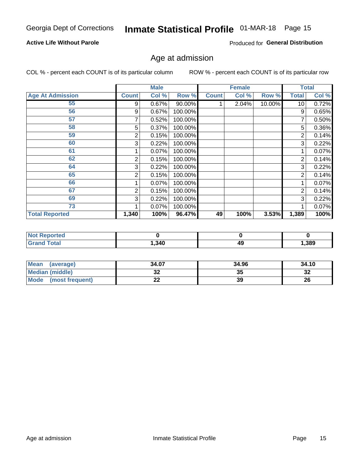#### **Active Life Without Parole**

Produced for General Distribution

### Age at admission

COL % - percent each COUNT is of its particular column

|                         |              | <b>Male</b> |         |              | <b>Female</b> |        |                | <b>Total</b> |
|-------------------------|--------------|-------------|---------|--------------|---------------|--------|----------------|--------------|
| <b>Age At Admission</b> | <b>Count</b> | Col %       | Row %   | <b>Count</b> | Col %         | Row %  | <b>Total</b>   | Col %        |
| 55                      | 9            | 0.67%       | 90.00%  |              | 2.04%         | 10.00% | 10             | 0.72%        |
| 56                      | 9            | 0.67%       | 100.00% |              |               |        | 9              | 0.65%        |
| 57                      |              | 0.52%       | 100.00% |              |               |        | 7              | 0.50%        |
| 58                      | 5            | 0.37%       | 100.00% |              |               |        | 5              | 0.36%        |
| 59                      | 2            | 0.15%       | 100.00% |              |               |        | 2              | 0.14%        |
| 60                      | 3            | 0.22%       | 100.00% |              |               |        | 3              | 0.22%        |
| 61                      |              | 0.07%       | 100.00% |              |               |        |                | 0.07%        |
| 62                      | 2            | 0.15%       | 100.00% |              |               |        | 2              | 0.14%        |
| 64                      | 3            | 0.22%       | 100.00% |              |               |        | 3              | 0.22%        |
| 65                      | 2            | 0.15%       | 100.00% |              |               |        | $\overline{2}$ | 0.14%        |
| 66                      |              | 0.07%       | 100.00% |              |               |        |                | 0.07%        |
| 67                      | 2            | 0.15%       | 100.00% |              |               |        | 2              | 0.14%        |
| 69                      | 3            | 0.22%       | 100.00% |              |               |        | 3              | 0.22%        |
| 73                      |              | 0.07%       | 100.00% |              |               |        |                | 0.07%        |
| <b>Total Reported</b>   | 1,340        | 100%        | 96.47%  | 49           | 100%          | 3.53%  | 1,389          | 100%         |

| eported<br>NO. |       |    |      |
|----------------|-------|----|------|
| <b>otal</b>    | , 340 | 49 | ,389 |

| Mean<br>(average)       | 34.07 | 34.96 | 34.10     |
|-------------------------|-------|-------|-----------|
| <b>Median (middle)</b>  | JZ    | 35    | o c<br>34 |
| Mode<br>(most frequent) | --    | 39    | 26        |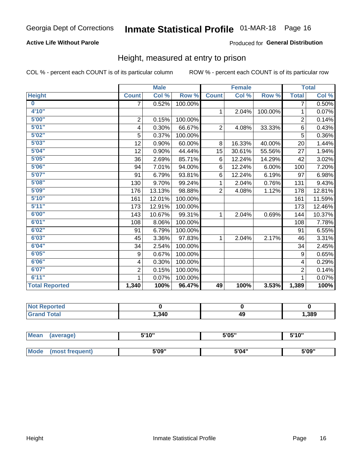#### **Active Life Without Parole**

#### Produced for General Distribution

### Height, measured at entry to prison

COL % - percent each COUNT is of its particular column

|                       |                | <b>Male</b> |         |                | <b>Female</b> |         |                | <b>Total</b> |
|-----------------------|----------------|-------------|---------|----------------|---------------|---------|----------------|--------------|
| <b>Height</b>         | <b>Count</b>   | Col %       | Row %   | <b>Count</b>   | Col %         | Row %   | <b>Total</b>   | Col %        |
| $\bf{0}$              | $\overline{7}$ | 0.52%       | 100.00% |                |               |         | 7              | 0.50%        |
| 4'10''                |                |             |         | $\mathbf{1}$   | 2.04%         | 100.00% | 1              | 0.07%        |
| 5'00''                | $\mathbf 2$    | 0.15%       | 100.00% |                |               |         | $\overline{2}$ | 0.14%        |
| 5'01"                 | 4              | 0.30%       | 66.67%  | $\overline{2}$ | 4.08%         | 33.33%  | 6              | 0.43%        |
| 5'02"                 | 5              | 0.37%       | 100.00% |                |               |         | 5              | 0.36%        |
| 5'03''                | 12             | 0.90%       | 60.00%  | 8              | 16.33%        | 40.00%  | 20             | 1.44%        |
| 5'04"                 | 12             | 0.90%       | 44.44%  | 15             | 30.61%        | 55.56%  | 27             | 1.94%        |
| 5'05"                 | 36             | 2.69%       | 85.71%  | 6              | 12.24%        | 14.29%  | 42             | 3.02%        |
| 5'06''                | 94             | 7.01%       | 94.00%  | 6              | 12.24%        | 6.00%   | 100            | 7.20%        |
| 5'07"                 | 91             | 6.79%       | 93.81%  | 6              | 12.24%        | 6.19%   | 97             | 6.98%        |
| 5'08''                | 130            | 9.70%       | 99.24%  | 1              | 2.04%         | 0.76%   | 131            | 9.43%        |
| 5'09''                | 176            | 13.13%      | 98.88%  | $\overline{2}$ | 4.08%         | 1.12%   | 178            | 12.81%       |
| 5'10''                | 161            | 12.01%      | 100.00% |                |               |         | 161            | 11.59%       |
| 5'11"                 | 173            | 12.91%      | 100.00% |                |               |         | 173            | 12.46%       |
| 6'00''                | 143            | 10.67%      | 99.31%  | 1.             | 2.04%         | 0.69%   | 144            | 10.37%       |
| 6'01''                | 108            | 8.06%       | 100.00% |                |               |         | 108            | 7.78%        |
| 6'02"                 | 91             | 6.79%       | 100.00% |                |               |         | 91             | 6.55%        |
| 6'03''                | 45             | 3.36%       | 97.83%  | $\mathbf{1}$   | 2.04%         | 2.17%   | 46             | 3.31%        |
| 6'04"                 | 34             | 2.54%       | 100.00% |                |               |         | 34             | 2.45%        |
| 6'05"                 | 9              | 0.67%       | 100.00% |                |               |         | 9              | 0.65%        |
| 6'06''                | 4              | 0.30%       | 100.00% |                |               |         | 4              | 0.29%        |
| 6'07''                | $\overline{2}$ | 0.15%       | 100.00% |                |               |         | $\overline{2}$ | 0.14%        |
| 6'11''                | 1              | 0.07%       | 100.00% |                |               |         | 1              | 0.07%        |
| <b>Total Reported</b> | 1,340          | 100%        | 96.47%  | 49             | 100%          | 3.53%   | 1,389          | 100%         |

| <b>eported</b> |      |    |      |
|----------------|------|----|------|
| <b>cotal</b>   | .340 | 49 | ,389 |

| <b>Mean</b> | (average)       | 5'10" | 5'05" | 5'10'' |
|-------------|-----------------|-------|-------|--------|
|             |                 |       |       |        |
| <b>Mode</b> | (most frequent) | 5'09" | 5'04" | 5'09"  |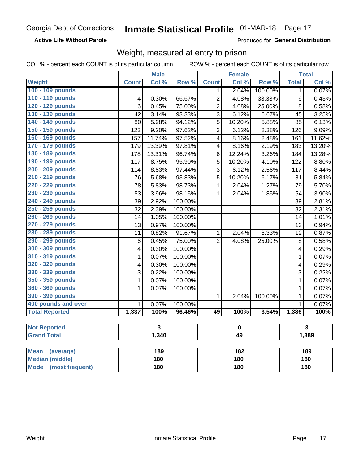**Active Life Without Parole** 

Produced for General Distribution

### Weight, measured at entry to prison

COL % - percent each COUNT is of its particular column

ROW % - percent each COUNT is of its particular row

|                                                    |                         | <b>Male</b>             |         |                         | <b>Female</b> |         |                | <b>Total</b>            |  |
|----------------------------------------------------|-------------------------|-------------------------|---------|-------------------------|---------------|---------|----------------|-------------------------|--|
| <b>Weight</b>                                      | <b>Count</b>            | Col %                   | Row %   | <b>Count</b>            | Col %         | Row %   | <b>Total</b>   | Col %                   |  |
| 100 - 109 pounds                                   |                         |                         |         | 1                       | 2.04%         | 100.00% | 1              | 0.07%                   |  |
| 110 - 119 pounds                                   | 4                       | 0.30%                   | 66.67%  | $\overline{2}$          | 4.08%         | 33.33%  | 6              | 0.43%                   |  |
| 120 - 129 pounds                                   | 6                       | 0.45%                   | 75.00%  | 2                       | 4.08%         | 25.00%  | 8              | 0.58%                   |  |
| 130 - 139 pounds                                   | 42                      | 3.14%                   | 93.33%  | 3                       | 6.12%         | 6.67%   | 45             | 3.25%                   |  |
| 140 - 149 pounds                                   | 80                      | 5.98%                   | 94.12%  | 5                       | 10.20%        | 5.88%   | 85             | 6.13%                   |  |
| 150 - 159 pounds                                   | 123                     | 9.20%                   | 97.62%  | 3                       | 6.12%         | 2.38%   | 126            | 9.09%                   |  |
| 160 - 169 pounds                                   | 157                     | 11.74%                  | 97.52%  | $\overline{\mathbf{4}}$ | 8.16%         | 2.48%   | 161            | 11.62%                  |  |
| 170 - 179 pounds                                   | 179                     | 13.39%                  | 97.81%  | $\overline{\mathbf{4}}$ | 8.16%         | 2.19%   | 183            | 13.20%                  |  |
| 180 - 189 pounds                                   | 178                     | 13.31%                  | 96.74%  | 6                       | 12.24%        | 3.26%   | 184            | 13.28%                  |  |
| 190 - 199 pounds                                   | 117                     | 8.75%                   | 95.90%  | 5                       | 10.20%        | 4.10%   | 122            | 8.80%                   |  |
| 200 - 209 pounds                                   | 114                     | 8.53%                   | 97.44%  | 3                       | 6.12%         | 2.56%   | 117            | 8.44%                   |  |
| 210 - 219 pounds                                   | 76                      | 5.68%                   | 93.83%  | 5                       | 10.20%        | 6.17%   | 81             | 5.84%                   |  |
| 220 - 229 pounds                                   | 78                      | 5.83%                   | 98.73%  | $\mathbf 1$             | 2.04%         | 1.27%   | 79             | 5.70%                   |  |
| 230 - 239 pounds                                   | 53                      | 3.96%                   | 98.15%  | $\mathbf{1}$            | 2.04%         | 1.85%   | 54             | 3.90%                   |  |
| 240 - 249 pounds                                   | 39                      | 2.92%                   | 100.00% |                         |               |         | 39             | 2.81%                   |  |
| 250 - 259 pounds                                   | 32                      | 2.39%                   | 100.00% |                         |               |         | 32             | 2.31%                   |  |
| 260 - 269 pounds                                   | 14                      | 1.05%                   | 100.00% |                         |               |         | 14             | 1.01%                   |  |
| 270 - 279 pounds                                   | 13                      | 0.97%                   | 100.00% |                         |               |         | 13             | 0.94%                   |  |
| 280 - 289 pounds                                   | 11                      | 0.82%                   | 91.67%  | $\mathbf{1}$            | 2.04%         | 8.33%   | 12             | 0.87%                   |  |
| 290 - 299 pounds                                   | $6\phantom{1}6$         | 0.45%                   | 75.00%  | $\overline{2}$          | 4.08%         | 25.00%  | 8              | 0.58%                   |  |
| 300 - 309 pounds                                   | 4                       | 0.30%                   | 100.00% |                         |               |         | 4              | 0.29%                   |  |
| 310 - 319 pounds                                   | $\mathbf 1$             | 0.07%                   | 100.00% |                         |               |         | 1              | 0.07%                   |  |
| 320 - 329 pounds                                   | $\overline{\mathbf{4}}$ | 0.30%                   | 100.00% |                         |               |         | 4              | 0.29%                   |  |
| 330 - 339 pounds                                   | $\mathsf 3$             | 0.22%                   | 100.00% |                         |               |         | 3              | 0.22%                   |  |
| 350 - 359 pounds                                   | $\mathbf{1}$            | 0.07%                   | 100.00% |                         |               |         | 1              | 0.07%                   |  |
| 360 - 369 pounds                                   | 1                       | 0.07%                   | 100.00% |                         |               |         | $\mathbf 1$    | 0.07%                   |  |
| 390 - 399 pounds                                   |                         |                         |         | $\mathbf{1}$            | 2.04%         | 100.00% | $\mathbf 1$    | 0.07%                   |  |
| 400 pounds and over                                | $\overline{1}$          | 0.07%                   | 100.00% |                         |               |         | $\overline{1}$ | 0.07%                   |  |
| <b>Total Reported</b>                              | 1,337                   | 100%                    | 96.46%  | 49                      | 100%          | 3.54%   | 1,386          | 100%                    |  |
|                                                    |                         |                         |         |                         |               |         |                |                         |  |
| <b>Not Reported</b>                                |                         | $\overline{\mathbf{3}}$ |         | $\pmb{0}$               |               |         |                | $\overline{\mathbf{3}}$ |  |
| <b>Grand Total</b>                                 |                         | 1,340                   |         | 49                      |               |         |                | 1,389                   |  |
|                                                    |                         |                         |         |                         |               |         |                |                         |  |
| <b>Mean</b><br>(average)<br><b>Median (middle)</b> |                         | 189                     |         |                         | 182<br>180    |         |                | 189                     |  |
|                                                    |                         | <b>180</b>              |         |                         |               |         | 180            |                         |  |

**Mode** 

(most frequent)

 $\overline{180}$ 

 $180$ 

 $180$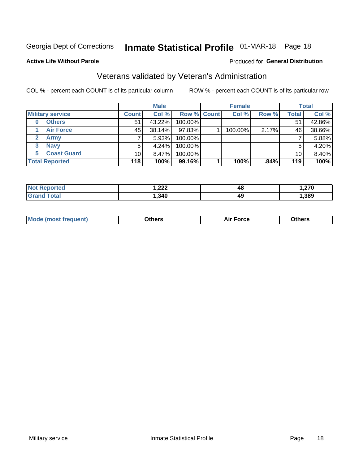### Inmate Statistical Profile 01-MAR-18 Page 18

#### **Active Life Without Parole**

#### Produced for General Distribution

### Veterans validated by Veteran's Administration

COL % - percent each COUNT is of its particular column

|                          |                 | <b>Male</b> |                    | <b>Female</b> |       |       | <b>Total</b> |
|--------------------------|-----------------|-------------|--------------------|---------------|-------|-------|--------------|
| <b>Military service</b>  | <b>Count</b>    | Col %       | <b>Row % Count</b> | Col %         | Row % | Total | Col %        |
| <b>Others</b><br>0       | 51              | 43.22%      | 100.00%            |               |       | 51    | 42.86%       |
| <b>Air Force</b>         | 45              | 38.14%      | 97.83%             | 100.00%       | 2.17% | 46    | 38.66%       |
| Army                     |                 | 5.93%       | 100.00%            |               |       |       | 5.88%        |
| <b>Navy</b><br>3         |                 | 4.24%       | 100.00%            |               |       | 5     | 4.20%        |
| <b>Coast Guard</b><br>5. | 10 <sup>1</sup> | $8.47\%$    | 100.00%            |               |       | 10    | 8.40%        |
| <b>Total Reported</b>    | 118             | 100%        | 99.16%             | 100%          | .84%  | 119   | 100%         |

|                   | ົດດດ<br>I.LLL<br>$\mathbf{r}$ and $\mathbf{r}$ | 4ō | 270  |
|-------------------|------------------------------------------------|----|------|
| $f \sim f \sim f$ | , 340                                          | 49 | ,389 |

| ____<br>____ |
|--------------|
|--------------|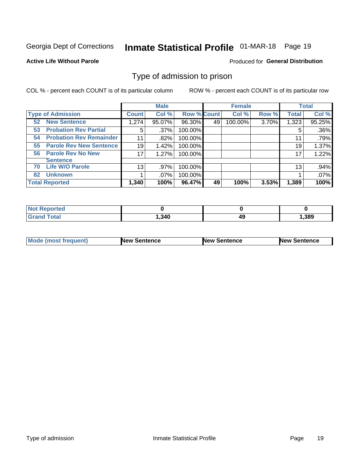## Inmate Statistical Profile 01-MAR-18 Page 19

#### **Active Life Without Parole**

#### Produced for General Distribution

### Type of admission to prison

COL % - percent each COUNT is of its particular column

|                                      |              | <b>Male</b> |                    |    | <b>Female</b> |       |              | <b>Total</b> |
|--------------------------------------|--------------|-------------|--------------------|----|---------------|-------|--------------|--------------|
| <b>Type of Admission</b>             | <b>Count</b> | Col %       | <b>Row % Count</b> |    | Col %         | Row % | <b>Total</b> | Col %        |
| <b>New Sentence</b><br>52            | 1,274        | 95.07%      | 96.30%             | 49 | 100.00%       | 3.70% | 1,323        | 95.25%       |
| <b>Probation Rev Partial</b><br>53   | 5            | $.37\%$     | 100.00%            |    |               |       | 5            | .36%         |
| <b>Probation Rev Remainder</b><br>54 | 11           | .82%        | 100.00%            |    |               |       | 11           | .79%         |
| <b>Parole Rev New Sentence</b><br>55 | 19           | 1.42%       | 100.00%            |    |               |       | 19           | 1.37%        |
| <b>Parole Rev No New</b><br>56       | 17           | 1.27%       | 100.00%            |    |               |       | 17           | 1.22%        |
| <b>Sentence</b>                      |              |             |                    |    |               |       |              |              |
| <b>Life W/O Parole</b><br>70         | 13           | .97%        | 100.00%            |    |               |       | 13           | .94%         |
| <b>Unknown</b><br>82                 |              | .07%        | 100.00%            |    |               |       |              | .07%         |
| <b>Total Reported</b>                | 1,340        | 100%        | 96.47%             | 49 | 100%          | 3.53% | 1,389        | 100%         |

| <b>Not Reported</b> |        |    |      |
|---------------------|--------|----|------|
| <b>Total</b>        | 340, ا | 49 | ,389 |

| Mode (most frequent) | <b>New Sentence</b> | <b>New Sentence</b> | <b>New Sentence</b> |
|----------------------|---------------------|---------------------|---------------------|
|                      |                     |                     |                     |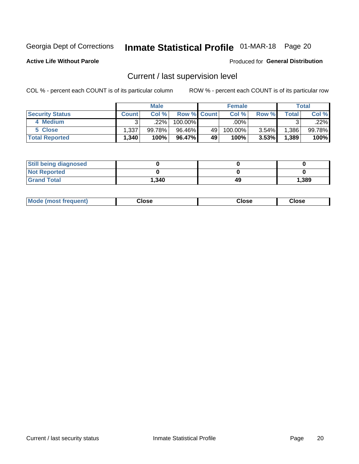### Inmate Statistical Profile 01-MAR-18 Page 20

**Active Life Without Parole** 

#### **Produced for General Distribution**

### Current / last supervision level

COL % - percent each COUNT is of its particular column

|                        |              | <b>Male</b> |                    |    | <b>Female</b> |       |       | <b>Total</b> |
|------------------------|--------------|-------------|--------------------|----|---------------|-------|-------|--------------|
| <b>Security Status</b> | <b>Count</b> | Col%        | <b>Row % Count</b> |    | Col %         | Row % | Total | Col %        |
| 4 Medium               | ົ            | 22%         | 100.00%            |    | $.00\%$       |       |       | .22%         |
| 5 Close                | 1,337        | 99.78%      | 96.46%             | 49 | 100.00%       | 3.54% | .386  | 99.78%       |
| <b>Total Reported</b>  | 340. ا       | 100%        | 96.47%             | 49 | 100%          | 3.53% | 1,389 | 100%         |

| <b>Still being diagnosed</b> |       |    |       |
|------------------------------|-------|----|-------|
| <b>Not Reported</b>          |       |    |       |
| <b>Grand Total</b>           | 1,340 | 49 | 1,389 |

| <b>Mode (most frequent)</b> | Close | ∵lose | Close |
|-----------------------------|-------|-------|-------|
|                             |       |       |       |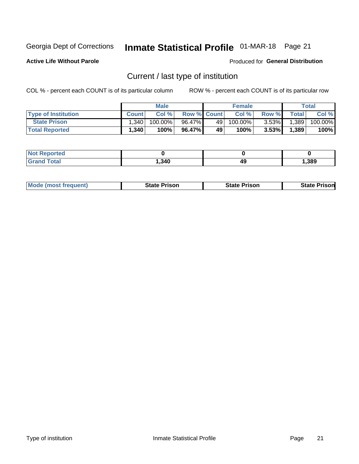### Inmate Statistical Profile 01-MAR-18 Page 21

**Active Life Without Parole** 

Produced for General Distribution

### Current / last type of institution

COL % - percent each COUNT is of its particular column

|                            |              | <b>Male</b> |                    |      | <b>Female</b> |          |              | <b>Total</b> |
|----------------------------|--------------|-------------|--------------------|------|---------------|----------|--------------|--------------|
| <b>Type of Institution</b> | <b>Count</b> | Col%        | <b>Row % Count</b> |      | Col %         | Row %    | <b>Total</b> | Col %        |
| <b>State Prison</b>        | 1.340        | 100.00%     | 96.47%             | 49 l | 100.00%       | $3.53\%$ | 1,389        | 100.00%      |
| <b>Total Reported</b>      | 1,340        | 100%        | 96.47%             | 49   | $100\%$ .     | $3.53\%$ | 1,389        | 100%         |

| тео<br>. |      |    |      |
|----------|------|----|------|
|          | ,340 | 49 | ,389 |

| <b>Mode (most frequent)</b> | State Prison | <b>State Prison</b> | State<br>⊦ Prisonl |
|-----------------------------|--------------|---------------------|--------------------|
|                             |              |                     |                    |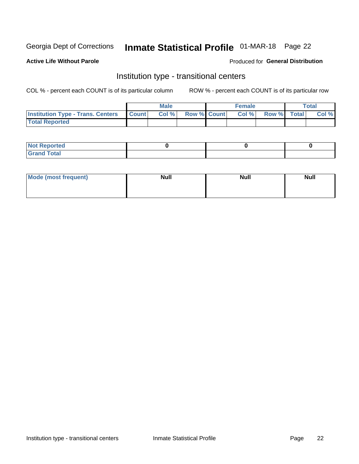### Inmate Statistical Profile 01-MAR-18 Page 22

#### **Active Life Without Parole**

#### Produced for General Distribution

### Institution type - transitional centers

COL % - percent each COUNT is of its particular column

|                                          |                | <b>Male</b> |                    | <b>Female</b> |             | <b>Total</b> |
|------------------------------------------|----------------|-------------|--------------------|---------------|-------------|--------------|
| <b>Institution Type - Trans. Centers</b> | <b>I</b> Count | CoI%        | <b>Row % Count</b> | Col %         | Row % Total | Col %        |
| <b>Total Reported</b>                    |                |             |                    |               |             |              |

| <b>Reported</b><br><b>NOT</b><br>$\sim$            |  |  |
|----------------------------------------------------|--|--|
| $f$ $f \circ f \circ f$<br>$C = 1$<br><b>TULAI</b> |  |  |

| Mode (most frequent) | <b>Null</b> | <b>Null</b> | <b>Null</b> |
|----------------------|-------------|-------------|-------------|
|                      |             |             |             |
|                      |             |             |             |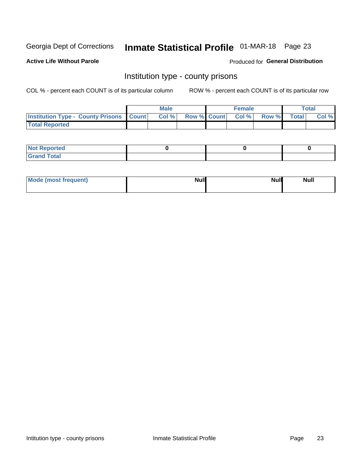### Inmate Statistical Profile 01-MAR-18 Page 23

**Active Life Without Parole** 

**Produced for General Distribution** 

### Institution type - county prisons

COL % - percent each COUNT is of its particular column

|                                                    | <b>Male</b> |  | <b>Female</b>            |             | <b>Total</b> |
|----------------------------------------------------|-------------|--|--------------------------|-------------|--------------|
| <b>Institution Type - County Prisons   Count  </b> | Col %       |  | <b>Row % Count Col %</b> | Row % Total | Col %        |
| <b>Total Reported</b>                              |             |  |                          |             |              |

| <b>Not Reported</b>   |  |  |
|-----------------------|--|--|
| <b>Total</b><br>Granc |  |  |

| Mode (most frequent) | <b>Null</b> | <b>Null</b><br><b>Null</b> |
|----------------------|-------------|----------------------------|
|                      |             |                            |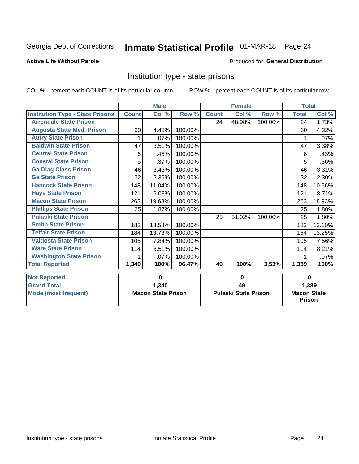# Inmate Statistical Profile 01-MAR-18 Page 24

#### **Active Life Without Parole**

#### Produced for General Distribution

### Institution type - state prisons

|                                         | <b>Male</b>               |        |         | <b>Female</b>               |        |         | <b>Total</b>                        |        |
|-----------------------------------------|---------------------------|--------|---------|-----------------------------|--------|---------|-------------------------------------|--------|
| <b>Institution Type - State Prisons</b> | <b>Count</b>              | Col %  | Row %   | <b>Count</b>                | Col %  | Row %   | <b>Total</b>                        | Col %  |
| <b>Arrendale State Prison</b>           |                           |        |         | 24                          | 48.98% | 100.00% | 24                                  | 1.73%  |
| <b>Augusta State Med. Prison</b>        | 60                        | 4.48%  | 100.00% |                             |        |         | 60                                  | 4.32%  |
| <b>Autry State Prison</b>               |                           | .07%   | 100.00% |                             |        |         |                                     | .07%   |
| <b>Baldwin State Prison</b>             | 47                        | 3.51%  | 100.00% |                             |        |         | 47                                  | 3.38%  |
| <b>Central State Prison</b>             | 6                         | .45%   | 100.00% |                             |        |         | 6                                   | .43%   |
| <b>Coastal State Prison</b>             | 5                         | .37%   | 100.00% |                             |        |         | 5                                   | .36%   |
| <b>Ga Diag Class Prison</b>             | 46                        | 3.43%  | 100.00% |                             |        |         | 46                                  | 3.31%  |
| <b>Ga State Prison</b>                  | 32                        | 2.39%  | 100.00% |                             |        |         | 32                                  | 2.30%  |
| <b>Hancock State Prison</b>             | 148                       | 11.04% | 100.00% |                             |        |         | 148                                 | 10.66% |
| <b>Hays State Prison</b>                | 121                       | 9.03%  | 100.00% |                             |        |         | 121                                 | 8.71%  |
| <b>Macon State Prison</b>               | 263                       | 19.63% | 100.00% |                             |        |         | 263                                 | 18.93% |
| <b>Phillips State Prison</b>            | 25                        | 1.87%  | 100.00% |                             |        |         | 25                                  | 1.80%  |
| <b>Pulaski State Prison</b>             |                           |        |         | 25                          | 51.02% | 100.00% | 25                                  | 1.80%  |
| <b>Smith State Prison</b>               | 182                       | 13.58% | 100.00% |                             |        |         | 182                                 | 13.10% |
| <b>Telfair State Prison</b>             | 184                       | 13.73% | 100.00% |                             |        |         | 184                                 | 13.25% |
| <b>Valdosta State Prison</b>            | 105                       | 7.84%  | 100.00% |                             |        |         | 105                                 | 7.56%  |
| <b>Ware State Prison</b>                | 114                       | 8.51%  | 100.00% |                             |        |         | 114                                 | 8.21%  |
| <b>Washington State Prison</b>          | 1                         | .07%   | 100.00% |                             |        |         | 1                                   | .07%   |
| <b>Total Reported</b>                   | 1,340                     | 100%   | 96.47%  | 49                          | 100%   | 3.53%   | 1,389                               | 100%   |
|                                         |                           | 0      |         |                             |        |         | $\bf{0}$                            |        |
| <b>Not Reported</b>                     |                           |        |         | 0                           |        |         |                                     |        |
| <b>Grand Total</b>                      |                           | 1,340  |         | 49                          |        |         | 1,389                               |        |
| <b>Mode (most frequent)</b>             | <b>Macon State Prison</b> |        |         | <b>Pulaski State Prison</b> |        |         | <b>Macon State</b><br><b>Prison</b> |        |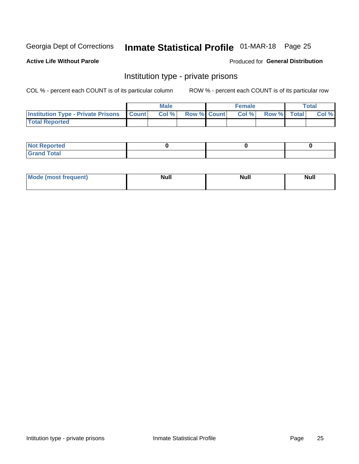### Inmate Statistical Profile 01-MAR-18 Page 25

**Active Life Without Parole** 

Produced for General Distribution

### Institution type - private prisons

COL % - percent each COUNT is of its particular column

|                                                     | <b>Male</b> |       |                    | <b>Female</b> |       |             | Total |       |
|-----------------------------------------------------|-------------|-------|--------------------|---------------|-------|-------------|-------|-------|
| <b>Institution Type - Private Prisons   Count  </b> |             | Col % | <b>Row % Count</b> |               | Col % | Row % Total |       | Col % |
| <b>Total Reported</b>                               |             |       |                    |               |       |             |       |       |

| Not Reported           |  |  |
|------------------------|--|--|
| <b>Cotal</b><br>______ |  |  |

| <b>Mo</b><br>frequent) | <b>Null</b> | <b>Null</b> | . . I *<br><b>IVUII</b> |
|------------------------|-------------|-------------|-------------------------|
|                        |             |             |                         |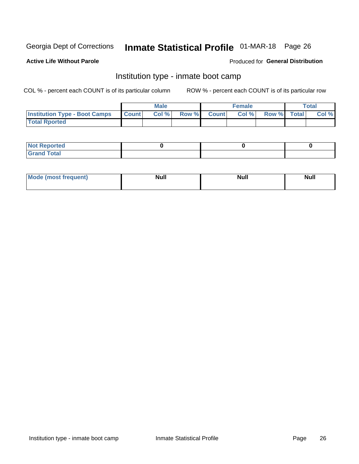# Inmate Statistical Profile 01-MAR-18 Page 26

#### **Active Life Without Parole**

#### Produced for General Distribution

### Institution type - inmate boot camp

COL % - percent each COUNT is of its particular column

|                                      | <b>Male</b>  |       |               | <b>Female</b> |       |             | <b>Total</b> |       |
|--------------------------------------|--------------|-------|---------------|---------------|-------|-------------|--------------|-------|
| <b>Institution Type - Boot Camps</b> | <b>Count</b> | Col % | <b>Row %I</b> | <b>Count</b>  | Col % | Row % Total |              | Col % |
| <b>Total Rported</b>                 |              |       |               |               |       |             |              |       |

| <b>Not Reported</b>            |  |  |
|--------------------------------|--|--|
| <b>Total</b><br>C <sub>r</sub> |  |  |

| Mod<br>uamo | Nul.<br>$- - - - - -$ | <b>Null</b> | . .<br>uu.<br>------ |
|-------------|-----------------------|-------------|----------------------|
|             |                       |             |                      |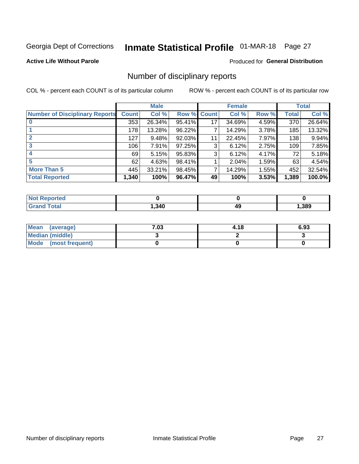## Inmate Statistical Profile 01-MAR-18 Page 27

**Active Life Without Parole** 

#### **Produced for General Distribution**

### Number of disciplinary reports

COL % - percent each COUNT is of its particular column

|                                       | <b>Male</b>  |        |        | <b>Female</b> |        |       | <b>Total</b> |        |
|---------------------------------------|--------------|--------|--------|---------------|--------|-------|--------------|--------|
| <b>Number of Disciplinary Reports</b> | <b>Count</b> | Col %  | Row %  | <b>Count</b>  | Col %  | Row % | Total        | Col %  |
|                                       | 353          | 26.34% | 95.41% | 17            | 34.69% | 4.59% | 370          | 26.64% |
|                                       | 178          | 13.28% | 96.22% | 7             | 14.29% | 3.78% | 185          | 13.32% |
| $\mathbf{2}$                          | 127          | 9.48%  | 92.03% | 11            | 22.45% | 7.97% | 138          | 9.94%  |
| 3                                     | 106          | 7.91%  | 97.25% | 3             | 6.12%  | 2.75% | 109          | 7.85%  |
|                                       | 69           | 5.15%  | 95.83% | 3             | 6.12%  | 4.17% | 72           | 5.18%  |
| 5                                     | 62           | 4.63%  | 98.41% |               | 2.04%  | 1.59% | 63           | 4.54%  |
| <b>More Than 5</b>                    | 445          | 33.21% | 98.45% | 7             | 14.29% | 1.55% | 452          | 32.54% |
| <b>Total Reported</b>                 | 1,340        | 100%   | 96.47% | 49            | 100%   | 3.53% | 1,389        | 100.0% |

| <b>Not Reported</b> |      |    |      |
|---------------------|------|----|------|
| <sup>-</sup> otal   | ,340 | 49 | ,389 |

| Mean (average)         | 7.03 | 4.18 | 6.93 |
|------------------------|------|------|------|
| <b>Median (middle)</b> |      |      |      |
| Mode (most frequent)   |      |      |      |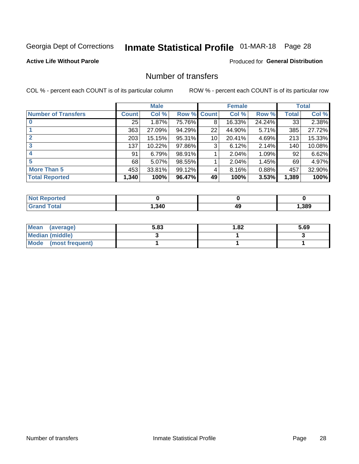## Inmate Statistical Profile 01-MAR-18 Page 28

#### **Active Life Without Parole**

#### **Produced for General Distribution**

### Number of transfers

COL % - percent each COUNT is of its particular column

|                            |              | <b>Male</b> |        |                 | <b>Female</b> |          |              | <b>Total</b> |
|----------------------------|--------------|-------------|--------|-----------------|---------------|----------|--------------|--------------|
| <b>Number of Transfers</b> | <b>Count</b> | Col %       | Row %  | <b>Count</b>    | Col %         | Row %    | <b>Total</b> | Col %        |
|                            | 25           | 1.87%       | 75.76% | 8               | 16.33%        | 24.24%   | 33           | 2.38%        |
|                            | 363          | 27.09%      | 94.29% | 22              | 44.90%        | $5.71\%$ | 385          | 27.72%       |
| $\mathbf{2}$               | 203          | 15.15%      | 95.31% | 10 <sup>1</sup> | 20.41%        | 4.69%    | 213          | 15.33%       |
| 3                          | 137          | 10.22%      | 97.86% | 3               | 6.12%         | 2.14%    | 140          | 10.08%       |
|                            | 91           | 6.79%       | 98.91% |                 | 2.04%         | 1.09%    | 92           | 6.62%        |
| 5                          | 68           | $5.07\%$    | 98.55% |                 | 2.04%         | 1.45%    | 69           | 4.97%        |
| <b>More Than 5</b>         | 453          | 33.81%      | 99.12% | 4               | 8.16%         | 0.88%    | 457          | 32.90%       |
| <b>Total Reported</b>      | 1,340        | 100%        | 96.47% | 49              | 100%          | 3.53%    | 1,389        | 100%         |

| orted<br><b>NOT</b> |      |    |      |
|---------------------|------|----|------|
| <b>Total</b>        | ,340 | 49 | ,389 |

| Mean (average)         | 5.83 | 1.82 | 5.69 |
|------------------------|------|------|------|
| <b>Median (middle)</b> |      |      |      |
| Mode (most frequent)   |      |      |      |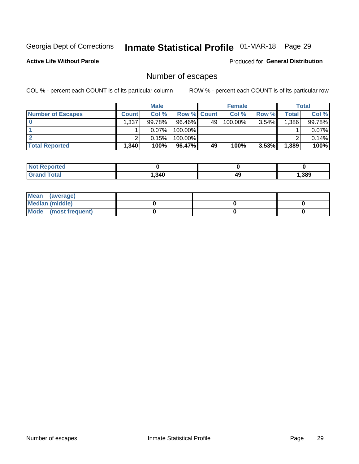### Inmate Statistical Profile 01-MAR-18 Page 29

**Active Life Without Parole** 

**Produced for General Distribution** 

### Number of escapes

COL % - percent each COUNT is of its particular column

|                          |              | <b>Male</b> |                    |    | <b>Female</b> |          |       | <b>Total</b> |
|--------------------------|--------------|-------------|--------------------|----|---------------|----------|-------|--------------|
| <b>Number of Escapes</b> | <b>Count</b> | Col %       | <b>Row % Count</b> |    | Col %         | Row %    | Total | Col %        |
|                          | .337         | 99.78%      | $96.46\%$          | 49 | 100.00%       | $3.54\%$ | 1,386 | 99.78%       |
|                          |              | 0.07%       | 100.00%            |    |               |          |       | 0.07%        |
|                          |              | 0.15%       | 100.00%            |    |               |          |       | 0.14%        |
| <b>Total Reported</b>    | 1,340        | 100%        | 96.47%             | 49 | 100%          | 3.53%    | 1,389 | 100%         |

| <b>Not Reported</b> |      |    |       |
|---------------------|------|----|-------|
| <b>Grand Total</b>  | .340 | 49 | , 389 |

| Mean (average)       |  |  |
|----------------------|--|--|
| Median (middle)      |  |  |
| Mode (most frequent) |  |  |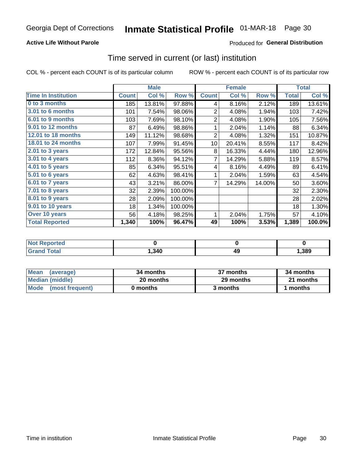#### **Active Life Without Parole**

### Produced for General Distribution

### Time served in current (or last) institution

COL % - percent each COUNT is of its particular column

|                            |              | <b>Male</b> |         |                | <b>Female</b> | <b>Total</b> |              |        |
|----------------------------|--------------|-------------|---------|----------------|---------------|--------------|--------------|--------|
| <b>Time In Institution</b> | <b>Count</b> | Col %       | Row %   | <b>Count</b>   | Col %         | Row %        | <b>Total</b> | Col %  |
| 0 to 3 months              | 185          | 13.81%      | 97.88%  | 4              | 8.16%         | 2.12%        | 189          | 13.61% |
| <b>3.01 to 6 months</b>    | 101          | 7.54%       | 98.06%  | 2              | 4.08%         | 1.94%        | 103          | 7.42%  |
| 6.01 to 9 months           | 103          | 7.69%       | 98.10%  | $\overline{2}$ | 4.08%         | 1.90%        | 105          | 7.56%  |
| 9.01 to 12 months          | 87           | 6.49%       | 98.86%  | 1              | 2.04%         | 1.14%        | 88           | 6.34%  |
| 12.01 to 18 months         | 149          | 11.12%      | 98.68%  | $\overline{2}$ | 4.08%         | 1.32%        | 151          | 10.87% |
| <b>18.01 to 24 months</b>  | 107          | 7.99%       | 91.45%  | 10             | 20.41%        | 8.55%        | 117          | 8.42%  |
| $2.01$ to 3 years          | 172          | 12.84%      | 95.56%  | 8              | 16.33%        | 4.44%        | 180          | 12.96% |
| $3.01$ to 4 years          | 112          | 8.36%       | 94.12%  | 7              | 14.29%        | 5.88%        | 119          | 8.57%  |
| $4.01$ to 5 years          | 85           | 6.34%       | 95.51%  | 4              | 8.16%         | 4.49%        | 89           | 6.41%  |
| 5.01 to 6 years            | 62           | 4.63%       | 98.41%  | 1              | 2.04%         | 1.59%        | 63           | 4.54%  |
| $6.01$ to 7 years          | 43           | 3.21%       | 86.00%  | $\overline{7}$ | 14.29%        | 14.00%       | 50           | 3.60%  |
| 7.01 to 8 years            | 32           | 2.39%       | 100.00% |                |               |              | 32           | 2.30%  |
| 8.01 to 9 years            | 28           | 2.09%       | 100.00% |                |               |              | 28           | 2.02%  |
| 9.01 to 10 years           | 18           | 1.34%       | 100.00% |                |               |              | 18           | 1.30%  |
| Over 10 years              | 56           | 4.18%       | 98.25%  | 1              | 2.04%         | 1.75%        | 57           | 4.10%  |
| <b>Total Reported</b>      | 1,340        | 100%        | 96.47%  | 49             | 100%          | 3.53%        | 1,389        | 100.0% |

| <b>Not Reported</b> |        |    |      |
|---------------------|--------|----|------|
| $f \circ f \circ f$ | 340, ا | 49 | ,389 |

| <b>Mean</b><br>(average) | 34 months | 37 months | 34 months |
|--------------------------|-----------|-----------|-----------|
| Median (middle)          | 20 months | 29 months | 21 months |
| Mode (most frequent)     | 0 months  | 3 months  | 1 months  |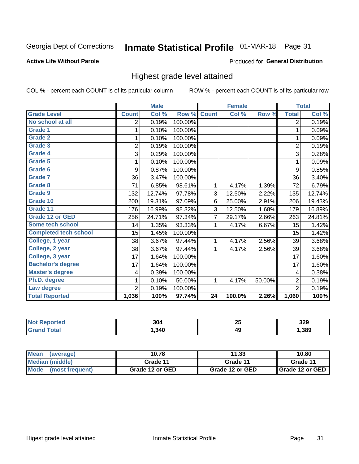## Inmate Statistical Profile 01-MAR-18 Page 31

#### **Active Life Without Parole**

#### Produced for General Distribution

### Highest grade level attained

COL % - percent each COUNT is of its particular column

|                              |                | <b>Male</b> |         |              | <b>Female</b> |        |                | <b>Total</b> |
|------------------------------|----------------|-------------|---------|--------------|---------------|--------|----------------|--------------|
| <b>Grade Level</b>           | <b>Count</b>   | Col %       | Row %   | <b>Count</b> | Col %         | Row %  | <b>Total</b>   | Col %        |
| No school at all             | 2              | 0.19%       | 100.00% |              |               |        | $\overline{2}$ | 0.19%        |
| <b>Grade 1</b>               | 1              | 0.10%       | 100.00% |              |               |        | 1              | 0.09%        |
| <b>Grade 2</b>               | 1              | 0.10%       | 100.00% |              |               |        | 1              | 0.09%        |
| <b>Grade 3</b>               | $\overline{2}$ | 0.19%       | 100.00% |              |               |        | $\overline{2}$ | 0.19%        |
| <b>Grade 4</b>               | 3              | 0.29%       | 100.00% |              |               |        | 3              | 0.28%        |
| <b>Grade 5</b>               | 1              | 0.10%       | 100.00% |              |               |        | 1              | 0.09%        |
| Grade 6                      | 9              | 0.87%       | 100.00% |              |               |        | 9              | 0.85%        |
| Grade 7                      | 36             | 3.47%       | 100.00% |              |               |        | 36             | 3.40%        |
| Grade 8                      | 71             | 6.85%       | 98.61%  | 1            | 4.17%         | 1.39%  | 72             | 6.79%        |
| Grade 9                      | 132            | 12.74%      | 97.78%  | 3            | 12.50%        | 2.22%  | 135            | 12.74%       |
| Grade 10                     | 200            | 19.31%      | 97.09%  | 6            | 25.00%        | 2.91%  | 206            | 19.43%       |
| Grade 11                     | 176            | 16.99%      | 98.32%  | 3            | 12.50%        | 1.68%  | 179            | 16.89%       |
| <b>Grade 12 or GED</b>       | 256            | 24.71%      | 97.34%  | 7            | 29.17%        | 2.66%  | 263            | 24.81%       |
| Some tech school             | 14             | 1.35%       | 93.33%  | 1            | 4.17%         | 6.67%  | 15             | 1.42%        |
| <b>Completed tech school</b> | 15             | 1.45%       | 100.00% |              |               |        | 15             | 1.42%        |
| College, 1 year              | 38             | 3.67%       | 97.44%  | 1            | 4.17%         | 2.56%  | 39             | 3.68%        |
| College, 2 year              | 38             | 3.67%       | 97.44%  | 1            | 4.17%         | 2.56%  | 39             | 3.68%        |
| College, 3 year              | 17             | 1.64%       | 100.00% |              |               |        | 17             | 1.60%        |
| <b>Bachelor's degree</b>     | 17             | 1.64%       | 100.00% |              |               |        | 17             | 1.60%        |
| <b>Master's degree</b>       | 4              | 0.39%       | 100.00% |              |               |        | 4              | 0.38%        |
| Ph.D. degree                 | 1              | 0.10%       | 50.00%  | 1            | 4.17%         | 50.00% | $\overline{2}$ | 0.19%        |
| Law degree                   | $\overline{2}$ | 0.19%       | 100.00% |              |               |        | $\overline{2}$ | 0.19%        |
| <b>Total Reported</b>        | 1,036          | 100%        | 97.74%  | 24           | 100.0%        | 2.26%  | 1,060          | 100%         |

| rteo | $\sim$ | ZJ | 370  |
|------|--------|----|------|
| NO:  | JU     |    | ີບ∠ວ |
|      | 340    | 49 | .389 |

| <b>Mean</b><br>(average) | 10.78           | 11.33           | 10.80             |
|--------------------------|-----------------|-----------------|-------------------|
| <b>Median (middle)</b>   | Grade 11        | Grade 11        | Grade 11          |
| Mode<br>(most frequent)  | Grade 12 or GED | Grade 12 or GED | I Grade 12 or GED |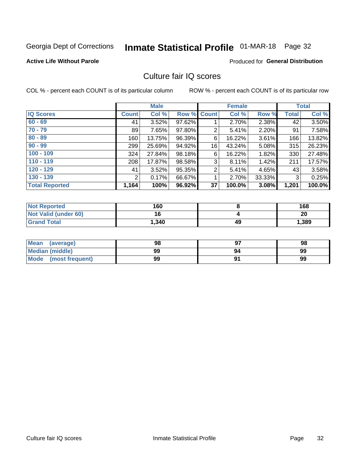## Inmate Statistical Profile 01-MAR-18 Page 32

#### **Active Life Without Parole**

#### **Produced for General Distribution**

### Culture fair IQ scores

COL % - percent each COUNT is of its particular column

|                       |              | <b>Male</b> |                    |                | <b>Female</b> |          |              | <b>Total</b> |
|-----------------------|--------------|-------------|--------------------|----------------|---------------|----------|--------------|--------------|
| <b>IQ Scores</b>      | <b>Count</b> | Col %       | <b>Row % Count</b> |                | Col %         | Row %    | <b>Total</b> | Col %        |
| $60 - 69$             | 41           | 3.52%       | 97.62%             |                | 2.70%         | 2.38%    | 42           | 3.50%        |
| $70 - 79$             | 89           | 7.65%       | 97.80%             | 2              | 5.41%         | 2.20%    | 91           | 7.58%        |
| $80 - 89$             | 160          | 13.75%      | 96.39%             | 6              | 16.22%        | 3.61%    | 166          | 13.82%       |
| $90 - 99$             | 299          | 25.69%      | 94.92%             | 16             | 43.24%        | $5.08\%$ | 315          | 26.23%       |
| $100 - 109$           | 324          | 27.84%      | 98.18%             | 6              | 16.22%        | 1.82%    | 330          | 27.48%       |
| $110 - 119$           | 208          | 17.87%      | 98.58%             | 3              | 8.11%         | 1.42%    | 211          | 17.57%       |
| $120 - 129$           | 41           | 3.52%       | 95.35%             | $\overline{2}$ | 5.41%         | 4.65%    | 43           | 3.58%        |
| $130 - 139$           | 2            | 0.17%       | 66.67%             | 1              | 2.70%         | 33.33%   | 3            | 0.25%        |
| <b>Total Reported</b> | 1,164        | 100%        | 96.92%             | 37             | 100.0%        | 3.08%    | 1,201        | 100.0%       |

| <b>Not Reported</b>  | 160   |    | 168   |
|----------------------|-------|----|-------|
| Not Valid (under 60) | 16    |    | 20    |
| <b>Grand Total</b>   | 1,340 | 49 | 1,389 |

| Mean<br>(average)      | 98 |    | 98 |
|------------------------|----|----|----|
| <b>Median (middle)</b> | 99 | 94 | 99 |
| Mode (most frequent)   | 99 |    | 99 |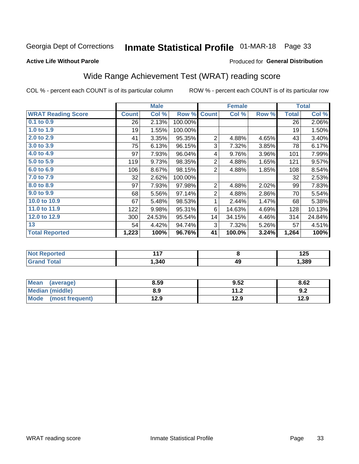### Inmate Statistical Profile 01-MAR-18 Page 33

#### **Active Life Without Parole**

### Produced for General Distribution

### Wide Range Achievement Test (WRAT) reading score

COL % - percent each COUNT is of its particular column

|                           |              | <b>Male</b> |         |                | <b>Female</b> |       |              | <b>Total</b>       |
|---------------------------|--------------|-------------|---------|----------------|---------------|-------|--------------|--------------------|
| <b>WRAT Reading Score</b> | <b>Count</b> | Col %       | Row %   | <b>Count</b>   | Col %         | Row % | <b>Total</b> | Col %              |
| 0.1 to 0.9                | 26           | 2.13%       | 100.00% |                |               |       | 26           | 2.06%              |
| 1.0 to 1.9                | 19           | 1.55%       | 100.00% |                |               |       | 19           | 1.50%              |
| 2.0 to 2.9                | 41           | 3.35%       | 95.35%  | $\mathbf 2$    | 4.88%         | 4.65% | 43           | 3.40%              |
| 3.0 to 3.9                | 75           | 6.13%       | 96.15%  | 3              | 7.32%         | 3.85% | 78           | 6.17%              |
| 4.0 to 4.9                | 97           | 7.93%       | 96.04%  | 4              | 9.76%         | 3.96% | 101          | 7.99%              |
| 5.0 to 5.9                | 119          | 9.73%       | 98.35%  | $\overline{c}$ | 4.88%         | 1.65% | 121          | 9.57%              |
| 6.0 to 6.9                | 106          | 8.67%       | 98.15%  | $\overline{2}$ | 4.88%         | 1.85% | 108          | 8.54%              |
| 7.0 to 7.9                | 32           | 2.62%       | 100.00% |                |               |       | 32           | 2.53%              |
| 8.0 to 8.9                | 97           | 7.93%       | 97.98%  | $\overline{2}$ | 4.88%         | 2.02% | 99           | 7.83%              |
| 9.0 to 9.9                | 68           | 5.56%       | 97.14%  | $\overline{c}$ | 4.88%         | 2.86% | 70           | 5.54%              |
| 10.0 to 10.9              | 67           | 5.48%       | 98.53%  | 1              | 2.44%         | 1.47% | 68           | 5.38%              |
| 11.0 to $11.9$            | 122          | 9.98%       | 95.31%  | 6              | 14.63%        | 4.69% | 128          | 10.13%             |
| 12.0 to 12.9              | 300          | 24.53%      | 95.54%  | 14             | 34.15%        | 4.46% | 314          | 24.84%             |
| 13                        | 54           | 4.42%       | 94.74%  | 3              | 7.32%         | 5.26% | 57           | 4.51%              |
| <b>Total Reported</b>     | 1,223        | 100%        | 96.76%  | 41             | 100.0%        | 3.24% | 1,264        | $\overline{100\%}$ |
|                           |              |             |         |                |               |       |              |                    |
| <b>Not Reported</b>       |              | 117         |         | 8              |               |       |              | 125                |
| <b>Grand Total</b>        |              | 1,340       |         | 49             |               |       | 1,389        |                    |

| <b>Mean</b><br>(average)       | 8.59 | 9.52         | 8.62 |
|--------------------------------|------|--------------|------|
| Median (middle)                | 8.9  | 112<br>. . Z | 9.2  |
| <b>Mode</b><br>(most frequent) | 12.9 | 12.9         | 12.9 |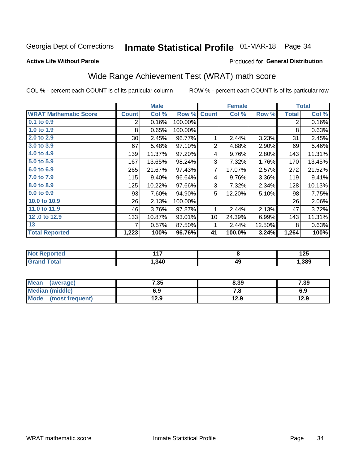### Inmate Statistical Profile 01-MAR-18 Page 34

#### **Active Life Without Parole**

#### Produced for General Distribution

### Wide Range Achievement Test (WRAT) math score

COL % - percent each COUNT is of its particular column

|                                     |                 | <b>Male</b>     |         |                | <b>Female</b> |        |                | <b>Total</b>    |
|-------------------------------------|-----------------|-----------------|---------|----------------|---------------|--------|----------------|-----------------|
| <b>WRAT Mathematic Score</b>        | <b>Count</b>    | Col %           | Row %   | <b>Count</b>   | Col %         | Row %  | <b>Total</b>   | Col %           |
| $0.1$ to $0.9$                      | $\overline{2}$  | 0.16%           | 100.00% |                |               |        | $\overline{2}$ | 0.16%           |
| 1.0 to 1.9                          | 8               | 0.65%           | 100.00% |                |               |        | 8              | 0.63%           |
| 2.0 to 2.9                          | 30 <sup>°</sup> | 2.45%           | 96.77%  | 1              | 2.44%         | 3.23%  | 31             | 2.45%           |
| 3.0 to 3.9                          | 67              | 5.48%           | 97.10%  | $\overline{2}$ | 4.88%         | 2.90%  | 69             | 5.46%           |
| 4.0 to 4.9                          | 139             | 11.37%          | 97.20%  | 4              | 9.76%         | 2.80%  | 143            | 11.31%          |
| 5.0 to 5.9                          | 167             | 13.65%          | 98.24%  | 3              | 7.32%         | 1.76%  | 170            | 13.45%          |
| 6.0 to 6.9                          | 265             | 21.67%          | 97.43%  | 7              | 17.07%        | 2.57%  | 272            | 21.52%          |
| 7.0 to 7.9                          | 115             | 9.40%           | 96.64%  | 4              | 9.76%         | 3.36%  | 119            | 9.41%           |
| 8.0 to 8.9                          | 125             | 10.22%          | 97.66%  | 3              | 7.32%         | 2.34%  | 128            | 10.13%          |
| 9.0 to 9.9                          | 93              | 7.60%           | 94.90%  | 5              | 12.20%        | 5.10%  | 98             | 7.75%           |
| 10.0 to 10.9                        | 26              | 2.13%           | 100.00% |                |               |        | 26             | 2.06%           |
| 11.0 to 11.9                        | 46              | 3.76%           | 97.87%  | 1              | 2.44%         | 2.13%  | 47             | 3.72%           |
| 12.0 to 12.9                        | 133             | 10.87%          | 93.01%  | 10             | 24.39%        | 6.99%  | 143            | 11.31%          |
| 13                                  | 7               | 0.57%           | 87.50%  | 1              | 2.44%         | 12.50% | 8              | 0.63%           |
| <b>Total Reported</b>               | 1,223           | 100%            | 96.76%  | 41             | 100.0%        | 3.24%  | 1,264          | 100%            |
| <b>All and Photographs and Call</b> |                 | $\overline{11}$ |         |                | $\sim$        |        |                | $\overline{AB}$ |

| опен | 147<br>. |    | $\overline{1}$<br>12J |
|------|----------|----|-----------------------|
| υιαι | 340      | 49 | .389                  |

| Mean<br>(average)      | 7.35 | 8.39 | 7.39 |
|------------------------|------|------|------|
| <b>Median (middle)</b> | 6.9  | 7.O  | 6.9  |
| Mode (most frequent)   | 12.9 | 12.9 | 12.9 |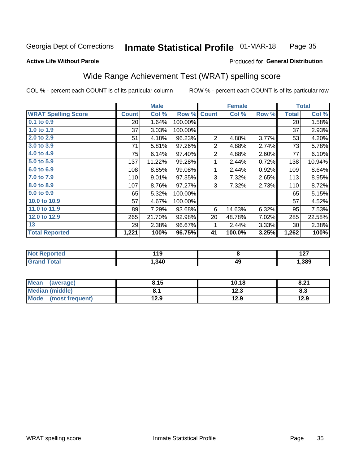#### **Inmate Statistical Profile 01-MAR-18** Page 35

#### **Active Life Without Parole**

#### Produced for General Distribution

### Wide Range Achievement Test (WRAT) spelling score

COL % - percent each COUNT is of its particular column

|                            |                 | <b>Male</b> |         |                           | <b>Female</b> |       |              | <b>Total</b> |
|----------------------------|-----------------|-------------|---------|---------------------------|---------------|-------|--------------|--------------|
| <b>WRAT Spelling Score</b> | <b>Count</b>    | Col %       | Row %   | <b>Count</b>              | Col %         | Row % | <b>Total</b> | Col %        |
| $0.1$ to $0.9$             | $\overline{20}$ | 1.64%       | 100.00% |                           |               |       | 20           | 1.58%        |
| 1.0 to 1.9                 | 37              | 3.03%       | 100.00% |                           |               |       | 37           | 2.93%        |
| 2.0 to 2.9                 | 51              | 4.18%       | 96.23%  | $\overline{2}$            | 4.88%         | 3.77% | 53           | 4.20%        |
| 3.0 to 3.9                 | 71              | 5.81%       | 97.26%  | 2                         | 4.88%         | 2.74% | 73           | 5.78%        |
| 4.0 to 4.9                 | 75              | 6.14%       | 97.40%  | $\mathbf 2$               | 4.88%         | 2.60% | 77           | 6.10%        |
| 5.0 to 5.9                 | 137             | 11.22%      | 99.28%  | 1                         | 2.44%         | 0.72% | 138          | 10.94%       |
| 6.0 to 6.9                 | 108             | 8.85%       | 99.08%  | 1                         | 2.44%         | 0.92% | 109          | 8.64%        |
| 7.0 to 7.9                 | 110             | 9.01%       | 97.35%  | $\ensuremath{\mathsf{3}}$ | 7.32%         | 2.65% | 113          | 8.95%        |
| 8.0 to 8.9                 | 107             | 8.76%       | 97.27%  | 3                         | 7.32%         | 2.73% | 110          | 8.72%        |
| 9.0 to 9.9                 | 65              | 5.32%       | 100.00% |                           |               |       | 65           | 5.15%        |
| 10.0 to 10.9               | 57              | 4.67%       | 100.00% |                           |               |       | 57           | 4.52%        |
| 11.0 to 11.9               | 89              | 7.29%       | 93.68%  | 6                         | 14.63%        | 6.32% | 95           | 7.53%        |
| 12.0 to 12.9               | 265             | 21.70%      | 92.98%  | 20                        | 48.78%        | 7.02% | 285          | 22.58%       |
| 13                         | 29              | 2.38%       | 96.67%  | 1                         | 2.44%         | 3.33% | 30           | 2.38%        |
| <b>Total Reported</b>      | 1,221           | 100%        | 96.75%  | 41                        | 100.0%        | 3.25% | 1,262        | 100%         |
|                            |                 |             |         |                           |               |       |              |              |
| <b>Not Reported</b>        |                 | 119         |         |                           | 8             |       |              | 127          |
| <b>Grand Total</b>         |                 | 1,340       |         |                           | 49            |       |              | 1,389        |
|                            |                 |             |         |                           |               |       |              |              |

| <b>Mean</b><br>(average) | 8.15 | 10.18 | 8.21 |
|--------------------------|------|-------|------|
| <b>Median (middle)</b>   |      | 12.3  | 8.3  |
| Mode (most frequent)     | 12.9 | 12.9  | 12.9 |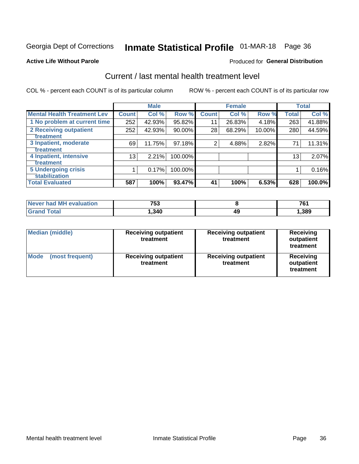### Inmate Statistical Profile 01-MAR-18 Page 36

#### **Active Life Without Parole**

#### Produced for General Distribution

### Current / last mental health treatment level

COL % - percent each COUNT is of its particular column

|                                    |              | <b>Male</b> |           |              | <b>Female</b> |        |              | <b>Total</b> |
|------------------------------------|--------------|-------------|-----------|--------------|---------------|--------|--------------|--------------|
| <b>Mental Health Treatment Lev</b> | <b>Count</b> | Col %       | Row %     | <b>Count</b> | Col%          | Row %  | <b>Total</b> | Col %        |
| 1 No problem at current time       | 252          | 42.93%      | 95.82%    | 11           | 26.83%        | 4.18%  | 263          | 41.88%       |
| 2 Receiving outpatient             | 252          | 42.93%      | $90.00\%$ | 28           | 68.29%        | 10.00% | 280          | 44.59%       |
| <b>Treatment</b>                   |              |             |           |              |               |        |              |              |
| 3 Inpatient, moderate              | 69           | 11.75%      | 97.18%    | 2            | 4.88%         | 2.82%  | 71           | 11.31%       |
| Treatment                          |              |             |           |              |               |        |              |              |
| 4 Inpatient, intensive             | 13           | 2.21%       | 100.00%   |              |               |        | 13           | 2.07%        |
| Treatment                          |              |             |           |              |               |        |              |              |
| <b>5 Undergoing crisis</b>         |              | 0.17%       | 100.00%   |              |               |        |              | 0.16%        |
| <b>stabilization</b>               |              |             |           |              |               |        |              |              |
| <b>Total Evaluated</b>             | 587          | 100%        | 93.47%    | 41           | 100%          | 6.53%  | 628          | 100.0%       |

| evaluation<br>Never had MI | 753   |    | 76   |
|----------------------------|-------|----|------|
| int                        | , 340 | 49 | ,389 |

| <b>Median (middle)</b>  | <b>Receiving outpatient</b><br>treatment | <b>Receiving outpatient</b><br>treatment | <b>Receiving</b><br>outpatient<br>treatment |  |
|-------------------------|------------------------------------------|------------------------------------------|---------------------------------------------|--|
| Mode<br>(most frequent) | <b>Receiving outpatient</b><br>treatment | <b>Receiving outpatient</b><br>treatment | Receiving<br>outpatient<br>treatment        |  |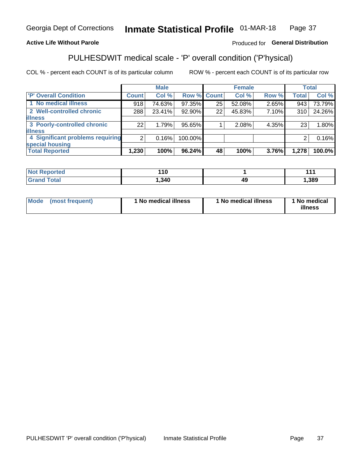#### Inmate Statistical Profile 01-MAR-18 Page 37

#### **Active Life Without Parole**

#### Produced for General Distribution

### PULHESDWIT medical scale - 'P' overall condition ('P'hysical)

COL % - percent each COUNT is of its particular column

|                                  |                | <b>Male</b> |                    |    | <b>Female</b> |       |              | <b>Total</b> |
|----------------------------------|----------------|-------------|--------------------|----|---------------|-------|--------------|--------------|
| 'P' Overall Condition            | <b>Count</b>   | Col %       | <b>Row % Count</b> |    | Col %         | Row % | <b>Total</b> | Col %        |
| 1 No medical illness             | 918            | 74.63%      | 97.35%             | 25 | 52.08%        | 2.65% | 943          | 73.79%       |
| 2 Well-controlled chronic        | 288            | 23.41%      | 92.90%             | 22 | 45.83%        | 7.10% | 310          | 24.26%       |
| <b>lillness</b>                  |                |             |                    |    |               |       |              |              |
| 3 Poorly-controlled chronic      | 22             | 1.79%       | 95.65%             |    | 2.08%         | 4.35% | 23           | 1.80%        |
| <b>illness</b>                   |                |             |                    |    |               |       |              |              |
| 4 Significant problems requiring | 2 <sub>1</sub> | 0.16%       | 100.00%            |    |               |       | 2            | 0.16%        |
| special housing                  |                |             |                    |    |               |       |              |              |
| <b>Total Reported</b>            | 1,230          | 100%        | 96.24%             | 48 | 100%          | 3.76% | 1,278        | 100.0%       |

| . .<br>- - - |              | л л<br>- - - |
|--------------|--------------|--------------|
| , 340        | $\sim$<br>49 | ,389         |

| <b>Mode</b> | (most frequent) | ' No medical illness | 1 No medical illness | 1 No medical<br>illness |
|-------------|-----------------|----------------------|----------------------|-------------------------|
|-------------|-----------------|----------------------|----------------------|-------------------------|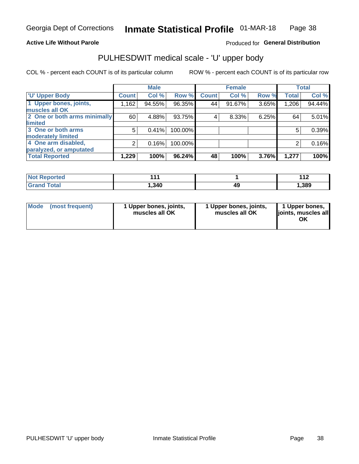#### **Active Life Without Parole**

### Produced for General Distribution

### PULHESDWIT medical scale - 'U' upper body

COL % - percent each COUNT is of its particular column

|                              |              | <b>Male</b> |         |              | <b>Female</b> |       |              | <b>Total</b> |
|------------------------------|--------------|-------------|---------|--------------|---------------|-------|--------------|--------------|
| <b>U' Upper Body</b>         | <b>Count</b> | Col %       | Row %   | <b>Count</b> | Col %         | Row % | <b>Total</b> | Col %        |
| 1 Upper bones, joints,       | 1,162        | 94.55%      | 96.35%  | 44           | 91.67%        | 3.65% | 1,206        | 94.44%       |
| muscles all OK               |              |             |         |              |               |       |              |              |
| 2 One or both arms minimally | 60           | 4.88%       | 93.75%  | 4            | 8.33%         | 6.25% | 64           | 5.01%        |
| <b>limited</b>               |              |             |         |              |               |       |              |              |
| 3 One or both arms           | 5            | 0.41%       | 100.00% |              |               |       | 5            | 0.39%        |
| <b>moderately limited</b>    |              |             |         |              |               |       |              |              |
| 4 One arm disabled,          | 2            | 0.16%       | 100.00% |              |               |       | 2            | 0.16%        |
| paralyzed, or amputated      |              |             |         |              |               |       |              |              |
| <b>Total Reported</b>        | 1,229        | 100%        | 96.24%  | 48           | 100%          | 3.76% | 1,277        | 100%         |

| <b>Not Reported</b>   |      |    | 4.4 <sub>0</sub><br>. |
|-----------------------|------|----|-----------------------|
| <b>Total</b><br>Grand | .340 | 49 | ,389                  |

| Mode | (most frequent) | 1 Upper bones, joints,<br>muscles all OK | 1 Upper bones, joints,<br>muscles all OK | 1 Upper bones,<br>ljoints, muscles all<br>ΟK |
|------|-----------------|------------------------------------------|------------------------------------------|----------------------------------------------|
|------|-----------------|------------------------------------------|------------------------------------------|----------------------------------------------|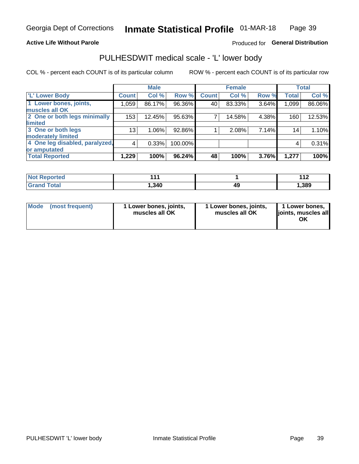#### **Active Life Without Parole**

### Produced for General Distribution

### PULHESDWIT medical scale - 'L' lower body

COL % - percent each COUNT is of its particular column

|                                |              | <b>Male</b> |           |              | <b>Female</b> |       |              | <b>Total</b> |
|--------------------------------|--------------|-------------|-----------|--------------|---------------|-------|--------------|--------------|
| 'L' Lower Body                 | <b>Count</b> | Col %       | Row %     | <b>Count</b> | Col %         | Row % | <b>Total</b> | Col %        |
| 1 Lower bones, joints,         | 1,059        | 86.17%      | 96.36%    | 40           | 83.33%        | 3.64% | 1,099        | 86.06%       |
| muscles all OK                 |              |             |           |              |               |       |              |              |
| 2 One or both legs minimally   | 153          | 12.45%      | 95.63%    | 7            | 14.58%        | 4.38% | 160          | 12.53%       |
| limited                        |              |             |           |              |               |       |              |              |
| 3 One or both legs             | 13           | 1.06%       | 92.86%    |              | 2.08%         | 7.14% | 14           | 1.10%        |
| moderately limited             |              |             |           |              |               |       |              |              |
| 4 One leg disabled, paralyzed, | 4            | 0.33%       | 100.00%   |              |               |       | 4            | 0.31%        |
| or amputated                   |              |             |           |              |               |       |              |              |
| <b>Total Reported</b>          | 1,229        | 100%        | $96.24\%$ | 48           | 100%          | 3.76% | 1,277        | 100%         |

| <b>Not Reported</b>   |      |    | 4.4 <sub>0</sub><br>. |
|-----------------------|------|----|-----------------------|
| <b>Total</b><br>Grand | .340 | 49 | ,389                  |

| Mode | (most frequent) | 1 Lower bones, joints,<br>muscles all OK | 1 Lower bones, joints,<br>muscles all OK | 1 Lower bones,<br>ljoints, muscles all<br>ΟK |
|------|-----------------|------------------------------------------|------------------------------------------|----------------------------------------------|
|------|-----------------|------------------------------------------|------------------------------------------|----------------------------------------------|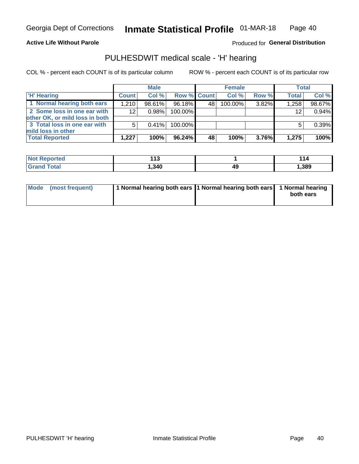#### **Active Life Without Parole**

Produced for General Distribution

### PULHESDWIT medical scale - 'H' hearing

COL % - percent each COUNT is of its particular column

|                                                               |              | <b>Male</b> |             |    | <b>Female</b> |          | <b>Total</b> |        |
|---------------------------------------------------------------|--------------|-------------|-------------|----|---------------|----------|--------------|--------|
| <b>H' Hearing</b>                                             | <b>Count</b> | Col %       | Row % Count |    | Col%          | Row %    | <b>Total</b> | Col %  |
| 1 Normal hearing both ears                                    | 1.210        | 98.61%      | 96.18%      | 48 | 100.00%       | 3.82%    | 1,258        | 98.67% |
| 2 Some loss in one ear with<br>other OK, or mild loss in both | 12           | 0.98%       | 100.00%     |    |               |          | 12           | 0.94%  |
| 3 Total loss in one ear with<br>mild loss in other            | 5            | 0.41%       | 100.00%     |    |               |          | 5            | 0.39%  |
| <b>Total Reported</b>                                         | 1.227        | 100%        | $96.24\%$   | 48 | 100%          | $3.76\%$ | 1,275        | 100%   |

| <b>Not</b><br><b>Reported</b> | $\overline{\phantom{a}}$<br>. . J<br>__ | -<br>. . |
|-------------------------------|-----------------------------------------|----------|
| <b>Total</b>                  | ,340                                    | , 389    |

| Mode (most frequent) | 1 Normal hearing both ears 1 Normal hearing both ears 1 Normal hearing |           |
|----------------------|------------------------------------------------------------------------|-----------|
|                      |                                                                        | both ears |
|                      |                                                                        |           |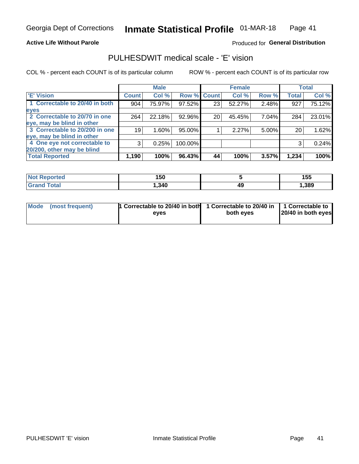#### **Active Life Without Parole**

#### Produced for General Distribution

### PULHESDWIT medical scale - 'E' vision

COL % - percent each COUNT is of its particular column

|                                |              | <b>Male</b> |         |                 | <b>Female</b> |       |              | <b>Total</b> |
|--------------------------------|--------------|-------------|---------|-----------------|---------------|-------|--------------|--------------|
| <b>E' Vision</b>               | <b>Count</b> | Col %       | Row %   | <b>Count</b>    | Col %         | Row % | <b>Total</b> | Col %        |
| 1 Correctable to 20/40 in both | 904          | 75.97%      | 97.52%  | 23 <sub>1</sub> | 52.27%        | 2.48% | 927          | 75.12%       |
| eyes                           |              |             |         |                 |               |       |              |              |
| 2 Correctable to 20/70 in one  | 264          | 22.18%      | 92.96%  | 20              | 45.45%        | 7.04% | 284          | 23.01%       |
| eye, may be blind in other     |              |             |         |                 |               |       |              |              |
| 3 Correctable to 20/200 in one | 19           | $1.60\%$    | 95.00%  |                 | 2.27%         | 5.00% | 20           | 1.62%        |
| eye, may be blind in other     |              |             |         |                 |               |       |              |              |
| 4 One eye not correctable to   | 3            | 0.25%       | 100.00% |                 |               |       | 3            | 0.24%        |
| 20/200, other may be blind     |              |             |         |                 |               |       |              |              |
| <b>Total Reported</b>          | 1,190        | 100%        | 96.43%  | 44              | 100%          | 3.57% | 1,234        | 100%         |

| <b>Not Reported</b>   | 150    |    | 155  |
|-----------------------|--------|----|------|
| <b>Total</b><br>Grand | 340. ا | 49 | ,389 |

| Mode (most frequent) | 1 Correctable to 20/40 in both<br>eves | 1 Correctable to 20/40 in   1 Correctable to<br>both eves | 20/40 in both eyes |
|----------------------|----------------------------------------|-----------------------------------------------------------|--------------------|
|                      |                                        |                                                           |                    |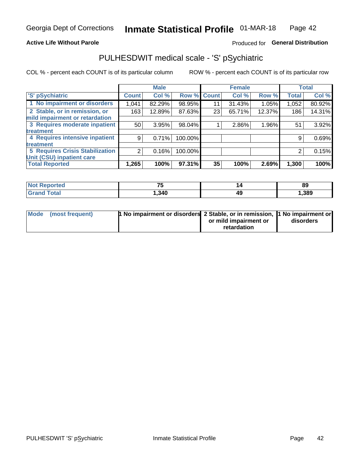#### **Active Life Without Parole**

### Produced for General Distribution

### PULHESDWIT medical scale - 'S' pSychiatric

COL % - percent each COUNT is of its particular column

|                                        |              | <b>Male</b> |         |             | <b>Female</b> |        |              | <b>Total</b> |
|----------------------------------------|--------------|-------------|---------|-------------|---------------|--------|--------------|--------------|
| 'S' pSychiatric                        | <b>Count</b> | Col %       |         | Row % Count | Col %         | Row %  | <b>Total</b> | Col %        |
| 1 No impairment or disorders           | 1,041        | 82.29%      | 98.95%  | 11          | 31.43%        | 1.05%  | 1,052        | 80.92%       |
| 2 Stable, or in remission, or          | 163          | 12.89%      | 87.63%  | 23          | 65.71%        | 12.37% | 186          | 14.31%       |
| mild impairment or retardation         |              |             |         |             |               |        |              |              |
| 3 Requires moderate inpatient          | 50           | 3.95%       | 98.04%  |             | 2.86%         | 1.96%  | 51           | 3.92%        |
| treatment                              |              |             |         |             |               |        |              |              |
| 4 Requires intensive inpatient         | 9            | 0.71%       | 100.00% |             |               |        | 9            | 0.69%        |
| treatment                              |              |             |         |             |               |        |              |              |
| <b>5 Requires Crisis Stabilization</b> | ⌒            | 0.16%       | 100.00% |             |               |        | 2            | 0.15%        |
| Unit (CSU) inpatient care              |              |             |         |             |               |        |              |              |
| <b>Total Reported</b>                  | 1,265        | 100%        | 97.31%  | 35          | 100%          | 2.69%  | 1,300        | 100%         |

| <b>Not Reported</b>          | --     |    | 89    |
|------------------------------|--------|----|-------|
| <b>Total</b><br><b>Grand</b> | 340. ا | 49 | 1,389 |

| Mode (most frequent) | <b>1 No impairment or disorders 2 Stable, or in remission, 1 No impairment or</b> |                       |           |
|----------------------|-----------------------------------------------------------------------------------|-----------------------|-----------|
|                      |                                                                                   | or mild impairment or | disorders |
|                      |                                                                                   | retardation           |           |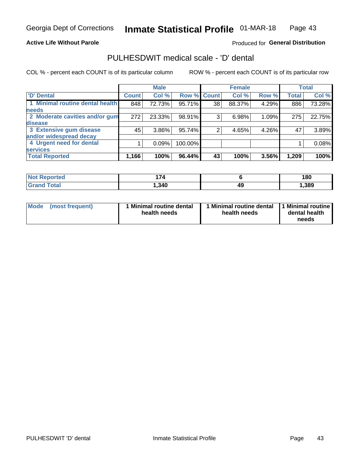#### **Active Life Without Parole**

#### Produced for General Distribution

### PULHESDWIT medical scale - 'D' dental

COL % - percent each COUNT is of its particular column

|                                 |              | <b>Male</b> |         |              | <b>Female</b> |       |              | <b>Total</b> |
|---------------------------------|--------------|-------------|---------|--------------|---------------|-------|--------------|--------------|
| <b>D'</b> Dental                | <b>Count</b> | Col %       | Row %   | <b>Count</b> | Col %         | Row % | <b>Total</b> | Col %        |
| 1 Minimal routine dental health | 848          | 72.73%      | 95.71%  | 38           | 88.37%        | 4.29% | 886          | 73.28%       |
| <b>needs</b>                    |              |             |         |              |               |       |              |              |
| 2 Moderate cavities and/or gum  | 272          | 23.33%      | 98.91%  | 3            | 6.98%         | 1.09% | 275          | 22.75%       |
| disease                         |              |             |         |              |               |       |              |              |
| 3 Extensive gum disease         | 45           | 3.86%       | 95.74%  |              | 4.65%         | 4.26% | 47           | 3.89%        |
| and/or widespread decay         |              |             |         |              |               |       |              |              |
| 4 Urgent need for dental        |              | 0.09%       | 100.00% |              |               |       |              | 0.08%        |
| <b>services</b>                 |              |             |         |              |               |       |              |              |
| <b>Total Reported</b>           | 1,166        | 100%        | 96.44%  | 43           | 100%          | 3.56% | 1,209        | 100%         |

| <b>Not Reported</b> | ״.    |    | 180  |
|---------------------|-------|----|------|
| Total               | .340. | 49 | ,389 |

| <b>Mode</b> | (most frequent) | <b>Minimal routine dental</b><br>health needs | 1 Minimal routine dental<br>health needs | <b>11 Minimal routine I</b><br>dental health<br>needs |
|-------------|-----------------|-----------------------------------------------|------------------------------------------|-------------------------------------------------------|
|-------------|-----------------|-----------------------------------------------|------------------------------------------|-------------------------------------------------------|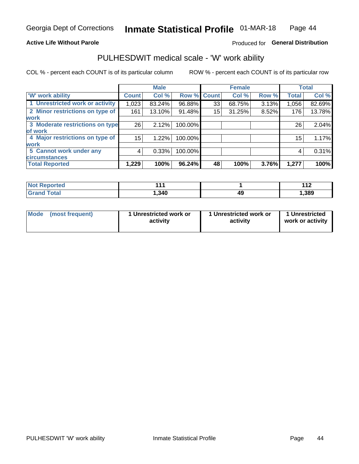#### **Active Life Without Parole**

### Produced for General Distribution

### PULHESDWIT medical scale - 'W' work ability

COL % - percent each COUNT is of its particular column

|                                 |                    | <b>Male</b> |         |             | <b>Female</b> |       |              | <b>Total</b> |
|---------------------------------|--------------------|-------------|---------|-------------|---------------|-------|--------------|--------------|
| <b>W' work ability</b>          | Count <sup>'</sup> | Col %       |         | Row % Count | Col %         | Row % | <b>Total</b> | Col %        |
| 1 Unrestricted work or activity | 1,023              | 83.24%      | 96.88%  | 33          | 68.75%        | 3.13% | 1,056        | 82.69%       |
| 2 Minor restrictions on type of | 161                | 13.10%      | 91.48%  | 15          | 31.25%        | 8.52% | 176          | 13.78%       |
| <b>work</b>                     |                    |             |         |             |               |       |              |              |
| 3 Moderate restrictions on type | 26                 | 2.12%       | 100.00% |             |               |       | 26           | 2.04%        |
| lof work                        |                    |             |         |             |               |       |              |              |
| 4 Major restrictions on type of | 15                 | 1.22%       | 100.00% |             |               |       | 15           | 1.17%        |
| <b>work</b>                     |                    |             |         |             |               |       |              |              |
| 5 Cannot work under any         | 4                  | 0.33%       | 100.00% |             |               |       | 4            | 0.31%        |
| <b>circumstances</b>            |                    |             |         |             |               |       |              |              |
| <b>Total Reported</b>           | 1,229              | 100%        | 96.24%  | 48          | 100%          | 3.76% | 1,277        | 100%         |

| <b>Not Reported</b>   | 44,    |    | 44 <sup>c</sup><br>. . <i>.</i> |
|-----------------------|--------|----|---------------------------------|
| <b>Total</b><br>Croni | 340. ا | 49 | , 389                           |

| Mode (most frequent) | 1 Unrestricted work or | 1 Unrestricted work or | 1 Unrestricted   |
|----------------------|------------------------|------------------------|------------------|
|                      | activity               | activity               | work or activity |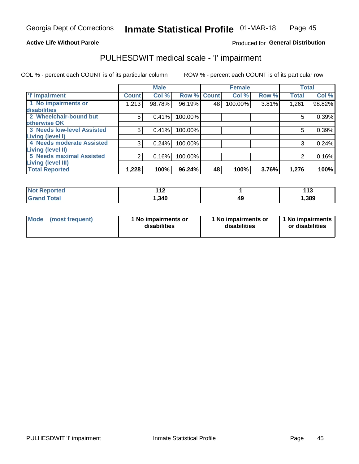#### **Active Life Without Parole**

#### Produced for General Distribution

### PULHESDWIT medical scale - 'I' impairment

|                                                              |              | <b>Male</b> |             |    | <b>Female</b> |       |              | <b>Total</b> |
|--------------------------------------------------------------|--------------|-------------|-------------|----|---------------|-------|--------------|--------------|
| <b>T' Impairment</b>                                         | <b>Count</b> | Col %       | Row % Count |    | Col %         | Row % | <b>Total</b> | Col %        |
| 1 No impairments or<br>disabilities                          | 1,213        | 98.78%      | 96.19%      | 48 | 100.00%       | 3.81% | 1,261        | 98.82%       |
| 2 Wheelchair-bound but                                       | 5            | 0.41%       | 100.00%     |    |               |       | 5            | 0.39%        |
| otherwise OK<br><b>3 Needs low-level Assisted</b>            | 5            | 0.41%       | 100.00%     |    |               |       | 5            | 0.39%        |
| Living (level I)<br>4 Needs moderate Assisted                | 3            | 0.24%       | 100.00%     |    |               |       |              | 0.24%        |
| Living (level II)                                            |              |             |             |    |               |       |              |              |
| <b>5 Needs maximal Assisted</b><br><b>Living (level III)</b> | 2            | 0.16%       | 100.00%     |    |               |       | 2            | 0.16%        |
| <b>Total Reported</b>                                        | 1,228        | 100%        | 96.24%      | 48 | 100%          | 3.76% | 1,276        | 100%         |

| orted       | $\overline{A}$<br>. . |   | 442<br>. |
|-------------|-----------------------|---|----------|
| <b>otal</b> | ,340                  | ĸ | 1,389    |

| Mode | (most frequent) | 1 No impairments or<br>disabilities | 1 No impairments or<br>disabilities | 1 No impairments<br>or disabilities |
|------|-----------------|-------------------------------------|-------------------------------------|-------------------------------------|
|------|-----------------|-------------------------------------|-------------------------------------|-------------------------------------|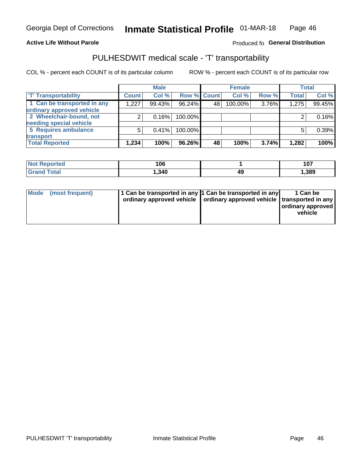#### **Active Life Without Parole**

#### Produced fo General Distribution

### PULHESDWIT medical scale - 'T' transportability

COL % - percent each COUNT is of its particular column

|                             |              | <b>Male</b> |             |    | <b>Female</b> |       |              | <b>Total</b> |
|-----------------------------|--------------|-------------|-------------|----|---------------|-------|--------------|--------------|
| <b>TT Transportability</b>  | <b>Count</b> | Col %       | Row % Count |    | Col %         | Row % | <b>Total</b> | Col %        |
| 1 Can be transported in any | 1,227        | 99.43%      | 96.24%      | 48 | 100.00%       | 3.76% | 1,275        | 99.45%       |
| ordinary approved vehicle   |              |             |             |    |               |       |              |              |
| 2 Wheelchair-bound, not     |              | 0.16%       | 100.00%     |    |               |       |              | 0.16%        |
| needing special vehicle     |              |             |             |    |               |       |              |              |
| 5 Requires ambulance        | 5            | 0.41%       | 100.00%     |    |               |       |              | 0.39%        |
| transport                   |              |             |             |    |               |       |              |              |
| <b>Total Reported</b>       | 1,234        | 100%        | 96.26%      | 48 | 100%          | 3.74% | 1,282        | 100%         |

| Reported    | 106   |    | 107   |
|-------------|-------|----|-------|
| <b>otal</b> | , 340 | 49 | 1,389 |

| Mode (most frequent) | 1 Can be transported in any 1 Can be transported in any | ordinary approved vehicle   ordinary approved vehicle   transported in any | 1 Can be<br>ordinary approved<br>vehicle |
|----------------------|---------------------------------------------------------|----------------------------------------------------------------------------|------------------------------------------|
|                      |                                                         |                                                                            |                                          |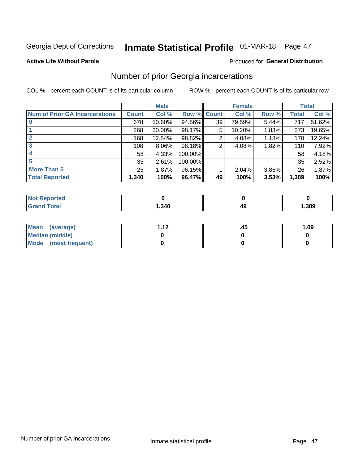### Inmate Statistical Profile 01-MAR-18 Page 47

#### **Active Life Without Parole**

#### **Produced for General Distribution**

### Number of prior Georgia incarcerations

COL % - percent each COUNT is of its particular column

|                                       |       | <b>Male</b> |             |    | <b>Female</b> |       |       | <b>Total</b> |
|---------------------------------------|-------|-------------|-------------|----|---------------|-------|-------|--------------|
| <b>Num of Prior GA Incarcerations</b> | Count | Col %       | Row % Count |    | Col %         | Row % | Total | Col %        |
| $\bf{0}$                              | 678   | 50.60%      | 94.56%      | 39 | 79.59%        | 5.44% | 717   | 51.62%       |
|                                       | 268   | 20.00%      | 98.17%      | 5  | 10.20%        | 1.83% | 273   | 19.65%       |
|                                       | 168   | 12.54%      | 98.82%      | 2  | 4.08%         | 1.18% | 170   | 12.24%       |
| 3                                     | 108   | 8.06%       | 98.18%      | 2  | 4.08%         | 1.82% | 110   | 7.92%        |
| 4                                     | 58    | 4.33%       | 100.00%     |    |               |       | 58    | 4.18%        |
| 5                                     | 35    | 2.61%       | 100.00%     |    |               |       | 35    | 2.52%        |
| <b>More Than 5</b>                    | 25    | 1.87%       | 96.15%      |    | 2.04%         | 3.85% | 26    | 1.87%        |
| <b>Total Reported</b>                 | 1,340 | 100%        | 96.47%      | 49 | 100%          | 3.53% | 1,389 | 100%         |

| <b>orteo</b><br>NG |      |      |
|--------------------|------|------|
| Total              | ,340 | ,389 |

| Mean (average)         | - 42 | .45 | 1.09 |
|------------------------|------|-----|------|
| <b>Median (middle)</b> |      |     |      |
| Mode (most frequent)   |      |     |      |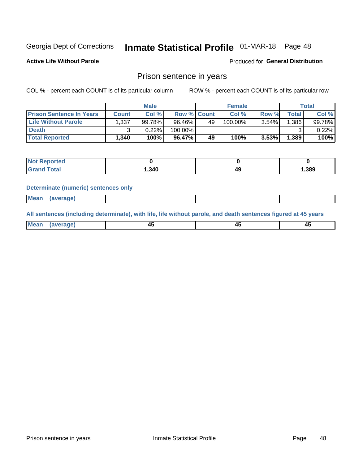### Inmate Statistical Profile 01-MAR-18 Page 48

**Active Life Without Parole** 

Produced for General Distribution

### Prison sentence in years

COL % - percent each COUNT is of its particular column

ROW % - percent each COUNT is of its particular row

|                                 |              | <b>Male</b> |                    |    | <b>Female</b> |          |             | Total  |
|---------------------------------|--------------|-------------|--------------------|----|---------------|----------|-------------|--------|
| <b>Prison Sentence In Years</b> | <b>Count</b> | Col %       | <b>Row % Count</b> |    | Col %         | Row %    | $\tau$ otal | Col %  |
| <b>Life Without Parole</b>      | 1,337        | 99.78%      | 96.46%             | 49 | 100.00%       | $3.54\%$ | .386'       | 99.78% |
| <b>Death</b>                    |              | 0.22%       | 100.00%            |    |               |          |             | 0.22%  |
| <b>Total Reported</b>           | 1,340        | 100%        | 96.47%             | 49 | 100%          | 3.53%    | 1,389       | 100%   |

| ported      |       |      |       |
|-------------|-------|------|-------|
| <b>otal</b> | 1,340 | 11 L | 1,389 |

#### **Determinate (numeric) sentences only**

| ' Mea<br><b>Service</b> A<br>ЯМА. |  |  |  |
|-----------------------------------|--|--|--|
|                                   |  |  |  |

All sentences (including determinate), with life, life without parole, and death sentences figured at 45 years

| l Mea<br>'апе<br>.<br> | ᠇<br>$\sim$ | $\sim$ |  |
|------------------------|-------------|--------|--|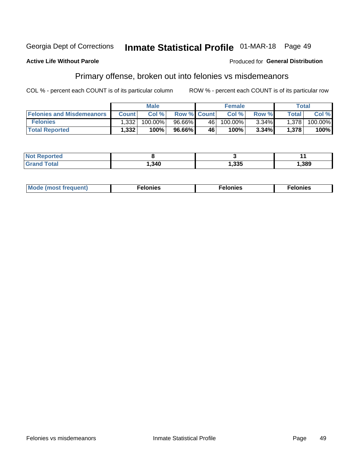#### Georgia Dept of Corrections Inmate Statistical Profile 01-MAR-18 Page 49

#### **Active Life Without Parole**

#### Produced for General Distribution

### Primary offense, broken out into felonies vs misdemeanors

COL % - percent each COUNT is of its particular column

|                                  |              | <b>Male</b> |                    |    | <b>Female</b> |          |                    | Total   |
|----------------------------------|--------------|-------------|--------------------|----|---------------|----------|--------------------|---------|
| <b>Felonies and Misdemeanors</b> | <b>Count</b> | Col%        | <b>Row % Count</b> |    | Col%          | Row %    | Total <sub>1</sub> | Col %   |
| <b>Felonies</b>                  | 1,332        | $100.00\%$  | 96.66%             | 46 | $100.00\%$    | $3.34\%$ | 1,378              | 100.00% |
| <b>Total Reported</b>            | .332         | $100\%$     | 96.66%             | 46 | 100%          | 3.34%    | 1,378              | 100%    |

| <b>Not Reported</b>   |      |      |      |
|-----------------------|------|------|------|
| Total<br><b>Grand</b> | .340 | ,335 | ,389 |

| <b>Mode</b><br>frequent)<br>nies<br>≧ (most tr.<br>. | onies<br>. | lonies<br>ею<br>____ |
|------------------------------------------------------|------------|----------------------|
|------------------------------------------------------|------------|----------------------|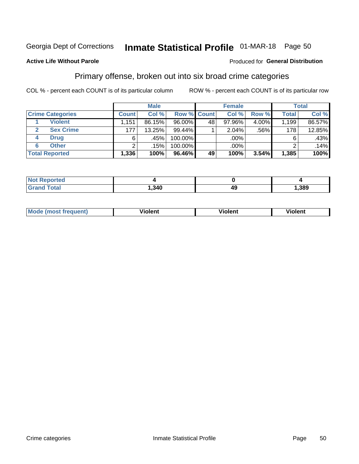# Inmate Statistical Profile 01-MAR-18 Page 50

#### **Active Life Without Parole**

#### Produced for General Distribution

### Primary offense, broken out into six broad crime categories

COL % - percent each COUNT is of its particular column

|                         |              | <b>Male</b> |         |                    | <b>Female</b> |          |              | <b>Total</b> |
|-------------------------|--------------|-------------|---------|--------------------|---------------|----------|--------------|--------------|
| <b>Crime Categories</b> | <b>Count</b> | Col %       |         | <b>Row % Count</b> | Col %         | Row %    | <b>Total</b> | Col %        |
| <b>Violent</b>          | 1.151        | 86.15%      | 96.00%  | 48                 | 97.96%        | $4.00\%$ | 1,199        | 86.57%       |
| <b>Sex Crime</b>        | 177          | 13.25%      | 99.44%  |                    | 2.04%         | .56%     | 178          | 12.85%       |
| <b>Drug</b><br>4        | 6            | .45%        | 100.00% |                    | .00%          |          | 6            | .43%         |
| <b>Other</b><br>6       | 2            | .15%        | 100.00% |                    | .00%          |          |              | .14%         |
| <b>Total Reported</b>   | 1,336        | 100%        | 96.46%  | 49                 | 100%          | 3.54%    | 1,385        | 100%         |

| orted<br><b>NOT REPO</b> |      |    |      |
|--------------------------|------|----|------|
| <b>Total</b>             | .340 | 49 | ,389 |

| <b>Mode (most frequent)</b> | <br>'iolent | Violent | --<br><b>Violent</b> |
|-----------------------------|-------------|---------|----------------------|
|                             |             |         |                      |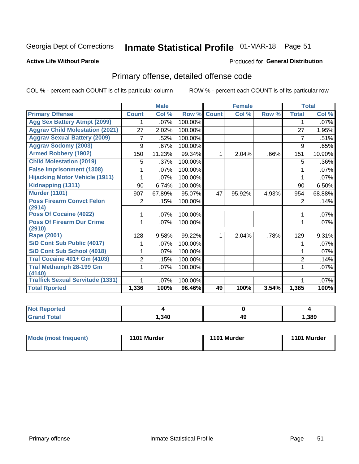### Inmate Statistical Profile 01-MAR-18 Page 51

#### **Active Life Without Parole**

#### Produced for General Distribution

### Primary offense, detailed offense code

COL % - percent each COUNT is of its particular column

|                                            |                | <b>Male</b> |         |              | <b>Female</b> |       |                | <b>Total</b> |
|--------------------------------------------|----------------|-------------|---------|--------------|---------------|-------|----------------|--------------|
| <b>Primary Offense</b>                     | <b>Count</b>   | Col %       | Row %   | <b>Count</b> | Col %         | Row % | <b>Total</b>   | Col %        |
| <b>Agg Sex Battery Atmpt (2099)</b>        |                | .07%        | 100.00% |              |               |       | 1              | .07%         |
| <b>Aggrav Child Molestation (2021)</b>     | 27             | 2.02%       | 100.00% |              |               |       | 27             | 1.95%        |
| <b>Aggrav Sexual Battery (2009)</b>        | 7              | .52%        | 100.00% |              |               |       | 7              | .51%         |
| <b>Aggrav Sodomy (2003)</b>                | 9              | .67%        | 100.00% |              |               |       | 9              | .65%         |
| <b>Armed Robbery (1902)</b>                | 150            | 11.23%      | 99.34%  | 1.           | 2.04%         | .66%  | 151            | 10.90%       |
| <b>Child Molestation (2019)</b>            | 5              | .37%        | 100.00% |              |               |       | 5              | .36%         |
| <b>False Imprisonment (1308)</b>           |                | .07%        | 100.00% |              |               |       |                | .07%         |
| <b>Hijacking Motor Vehicle (1911)</b>      |                | .07%        | 100.00% |              |               |       |                | .07%         |
| Kidnapping (1311)                          | 90             | 6.74%       | 100.00% |              |               |       | 90             | 6.50%        |
| <b>Murder (1101)</b>                       | 907            | 67.89%      | 95.07%  | 47           | 95.92%        | 4.93% | 954            | 68.88%       |
| <b>Poss Firearm Convct Felon</b>           | $\overline{2}$ | .15%        | 100.00% |              |               |       | $\overline{2}$ | .14%         |
| (2914)                                     |                |             |         |              |               |       |                |              |
| Poss Of Cocaine (4022)                     | 1              | .07%        | 100.00% |              |               |       |                | .07%         |
| <b>Poss Of Firearm Dur Crime</b><br>(2910) | 1              | .07%        | 100.00% |              |               |       | 1              | .07%         |
| <b>Rape (2001)</b>                         | 128            | 9.58%       | 99.22%  |              | 2.04%         | .78%  | 129            | 9.31%        |
| S/D Cont Sub Public (4017)                 |                | .07%        | 100.00% |              |               |       |                | .07%         |
| S/D Cont Sub School (4018)                 |                | .07%        | 100.00% |              |               |       | 1              | .07%         |
| <b>Traf Cocaine 401+ Gm (4103)</b>         | 2              | .15%        | 100.00% |              |               |       | $\overline{2}$ | .14%         |
| <b>Traf Methamph 28-199 Gm</b><br>(4140)   | 1.             | .07%        | 100.00% |              |               |       |                | .07%         |
| <b>Traffick Sexual Servitude (1331)</b>    | 1              | $.07\%$     | 100.00% |              |               |       |                | .07%         |
| <b>Total Rported</b>                       | 1,336          | 100%        | 96.46%  | 49           | 100%          | 3.54% | 1,385          | 100%         |

| N<br>™teu<br>$\sim$ |      |    |      |
|---------------------|------|----|------|
|                     | ,340 | 49 | ,389 |

| 1101 Murder<br>Mode (most frequent)<br>1101 Murder | 1101 Murder |
|----------------------------------------------------|-------------|
|----------------------------------------------------|-------------|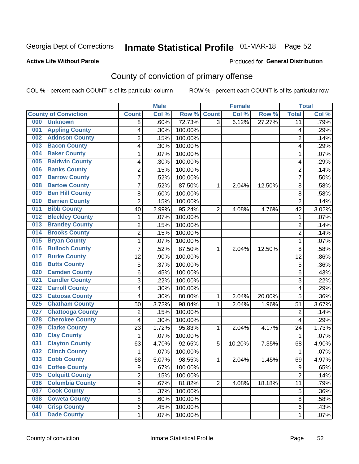### Inmate Statistical Profile 01-MAR-18 Page 52

#### **Active Life Without Parole**

#### Produced for General Distribution

### County of conviction of primary offense

COL % - percent each COUNT is of its particular column

|                                |                | <b>Male</b> |         |                | <b>Female</b> |        |                | <b>Total</b> |
|--------------------------------|----------------|-------------|---------|----------------|---------------|--------|----------------|--------------|
| <b>County of Conviction</b>    | <b>Count</b>   | Col %       | Row %   | <b>Count</b>   | Col %         | Row %  | <b>Total</b>   | Col %        |
| 000<br><b>Unknown</b>          | 8              | .60%        | 72.73%  | $\overline{3}$ | 6.12%         | 27.27% | 11             | .79%         |
| <b>Appling County</b><br>001   | 4              | .30%        | 100.00% |                |               |        | 4              | .29%         |
| <b>Atkinson County</b><br>002  | $\overline{c}$ | .15%        | 100.00% |                |               |        | $\overline{2}$ | .14%         |
| <b>Bacon County</b><br>003     | 4              | .30%        | 100.00% |                |               |        | 4              | .29%         |
| <b>Baker County</b><br>004     | 1              | .07%        | 100.00% |                |               |        | 1              | .07%         |
| <b>Baldwin County</b><br>005   | 4              | .30%        | 100.00% |                |               |        | 4              | .29%         |
| <b>Banks County</b><br>006     | $\overline{c}$ | .15%        | 100.00% |                |               |        | $\overline{2}$ | .14%         |
| <b>Barrow County</b><br>007    | $\overline{7}$ | .52%        | 100.00% |                |               |        | $\overline{7}$ | .50%         |
| <b>Bartow County</b><br>008    | 7              | .52%        | 87.50%  | 1              | 2.04%         | 12.50% | 8              | .58%         |
| <b>Ben Hill County</b><br>009  | 8              | .60%        | 100.00% |                |               |        | 8              | .58%         |
| <b>Berrien County</b><br>010   | $\overline{2}$ | .15%        | 100.00% |                |               |        | $\overline{2}$ | .14%         |
| <b>Bibb County</b><br>011      | 40             | 2.99%       | 95.24%  | $\overline{2}$ | 4.08%         | 4.76%  | 42             | 3.02%        |
| <b>Bleckley County</b><br>012  | 1              | .07%        | 100.00% |                |               |        | 1              | .07%         |
| <b>Brantley County</b><br>013  | $\overline{2}$ | .15%        | 100.00% |                |               |        | $\overline{2}$ | .14%         |
| <b>Brooks County</b><br>014    | $\overline{c}$ | .15%        | 100.00% |                |               |        | $\overline{2}$ | .14%         |
| <b>Bryan County</b><br>015     | $\mathbf{1}$   | .07%        | 100.00% |                |               |        | $\mathbf{1}$   | .07%         |
| <b>Bulloch County</b><br>016   | $\overline{7}$ | .52%        | 87.50%  | 1              | 2.04%         | 12.50% | 8              | .58%         |
| <b>Burke County</b><br>017     | 12             | .90%        | 100.00% |                |               |        | 12             | .86%         |
| <b>Butts County</b><br>018     | 5              | .37%        | 100.00% |                |               |        | 5              | .36%         |
| <b>Camden County</b><br>020    | 6              | .45%        | 100.00% |                |               |        | 6              | .43%         |
| <b>Candler County</b><br>021   | 3              | .22%        | 100.00% |                |               |        | 3              | .22%         |
| <b>Carroll County</b><br>022   | 4              | .30%        | 100.00% |                |               |        | 4              | .29%         |
| <b>Catoosa County</b><br>023   | 4              | .30%        | 80.00%  | 1              | 2.04%         | 20.00% | 5              | .36%         |
| <b>Chatham County</b><br>025   | 50             | 3.73%       | 98.04%  | 1              | 2.04%         | 1.96%  | 51             | 3.67%        |
| <b>Chattooga County</b><br>027 | $\overline{2}$ | .15%        | 100.00% |                |               |        | $\overline{2}$ | .14%         |
| <b>Cherokee County</b><br>028  | 4              | .30%        | 100.00% |                |               |        | 4              | .29%         |
| <b>Clarke County</b><br>029    | 23             | 1.72%       | 95.83%  | 1              | 2.04%         | 4.17%  | 24             | 1.73%        |
| <b>Clay County</b><br>030      | 1              | .07%        | 100.00% |                |               |        | 1              | .07%         |
| <b>Clayton County</b><br>031   | 63             | 4.70%       | 92.65%  | 5              | 10.20%        | 7.35%  | 68             | 4.90%        |
| <b>Clinch County</b><br>032    | $\mathbf{1}$   | .07%        | 100.00% |                |               |        | $\mathbf{1}$   | .07%         |
| <b>Cobb County</b><br>033      | 68             | 5.07%       | 98.55%  | 1              | 2.04%         | 1.45%  | 69             | 4.97%        |
| <b>Coffee County</b><br>034    | 9              | .67%        | 100.00% |                |               |        | 9              | .65%         |
| <b>Colquitt County</b><br>035  | 2              | .15%        | 100.00% |                |               |        | $\overline{2}$ | .14%         |
| <b>Columbia County</b><br>036  | 9              | .67%        | 81.82%  | $\overline{2}$ | 4.08%         | 18.18% | 11             | .79%         |
| <b>Cook County</b><br>037      | $\overline{5}$ | .37%        | 100.00% |                |               |        | 5              | .36%         |
| <b>Coweta County</b><br>038    | $\bf 8$        | .60%        | 100.00% |                |               |        | 8              | .58%         |
| <b>Crisp County</b><br>040     | 6              | .45%        | 100.00% |                |               |        | 6              | .43%         |
| <b>Dade County</b><br>041      | $\mathbf 1$    | .07%        | 100.00% |                |               |        | $\mathbf 1$    | .07%         |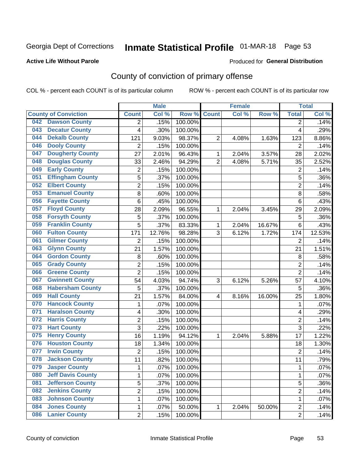### Inmate Statistical Profile 01-MAR-18 Page 53

#### **Active Life Without Parole**

#### Produced for General Distribution

### County of conviction of primary offense

COL % - percent each COUNT is of its particular column

|                                 |                         | <b>Male</b> |                  |                | <b>Female</b> |        |                | <b>Total</b> |
|---------------------------------|-------------------------|-------------|------------------|----------------|---------------|--------|----------------|--------------|
| <b>County of Conviction</b>     | <b>Count</b>            | Col %       | Row <sup>%</sup> | <b>Count</b>   | Col %         | Row %  | <b>Total</b>   | Col %        |
| <b>Dawson County</b><br>042     | 2                       | .15%        | 100.00%          |                |               |        | 2              | .14%         |
| <b>Decatur County</b><br>043    | 4                       | .30%        | 100.00%          |                |               |        | 4              | .29%         |
| <b>Dekalb County</b><br>044     | 121                     | 9.03%       | 98.37%           | $\overline{2}$ | 4.08%         | 1.63%  | 123            | 8.86%        |
| <b>Dooly County</b><br>046      | $\overline{2}$          | .15%        | 100.00%          |                |               |        | 2              | .14%         |
| <b>Dougherty County</b><br>047  | 27                      | 2.01%       | 96.43%           | 1              | 2.04%         | 3.57%  | 28             | 2.02%        |
| <b>Douglas County</b><br>048    | 33                      | 2.46%       | 94.29%           | $\overline{2}$ | 4.08%         | 5.71%  | 35             | 2.52%        |
| <b>Early County</b><br>049      | $\overline{c}$          | .15%        | 100.00%          |                |               |        | $\overline{2}$ | .14%         |
| <b>Effingham County</b><br>051  | 5                       | .37%        | 100.00%          |                |               |        | 5              | .36%         |
| <b>Elbert County</b><br>052     | 2                       | .15%        | 100.00%          |                |               |        | $\overline{2}$ | .14%         |
| <b>Emanuel County</b><br>053    | 8                       | .60%        | 100.00%          |                |               |        | 8              | .58%         |
| <b>Fayette County</b><br>056    | 6                       | .45%        | 100.00%          |                |               |        | 6              | .43%         |
| <b>Floyd County</b><br>057      | 28                      | 2.09%       | 96.55%           | 1              | 2.04%         | 3.45%  | 29             | 2.09%        |
| <b>Forsyth County</b><br>058    | 5                       | .37%        | 100.00%          |                |               |        | 5              | .36%         |
| <b>Franklin County</b><br>059   | 5                       | .37%        | 83.33%           | 1              | 2.04%         | 16.67% | 6              | .43%         |
| <b>Fulton County</b><br>060     | 171                     | 12.76%      | 98.28%           | 3              | 6.12%         | 1.72%  | 174            | 12.53%       |
| <b>Gilmer County</b><br>061     | $\overline{2}$          | .15%        | 100.00%          |                |               |        | 2              | .14%         |
| <b>Glynn County</b><br>063      | 21                      | 1.57%       | 100.00%          |                |               |        | 21             | 1.51%        |
| <b>Gordon County</b><br>064     | 8                       | .60%        | 100.00%          |                |               |        | 8              | .58%         |
| <b>Grady County</b><br>065      | $\overline{2}$          | .15%        | 100.00%          |                |               |        | $\overline{2}$ | .14%         |
| <b>Greene County</b><br>066     | $\overline{2}$          | .15%        | 100.00%          |                |               |        | $\overline{2}$ | .14%         |
| <b>Gwinnett County</b><br>067   | 54                      | 4.03%       | 94.74%           | 3              | 6.12%         | 5.26%  | 57             | 4.10%        |
| <b>Habersham County</b><br>068  | 5                       | .37%        | 100.00%          |                |               |        | 5              | .36%         |
| <b>Hall County</b><br>069       | 21                      | 1.57%       | 84.00%           | 4              | 8.16%         | 16.00% | 25             | 1.80%        |
| <b>Hancock County</b><br>070    | 1                       | .07%        | 100.00%          |                |               |        | 1              | .07%         |
| <b>Haralson County</b><br>071   | 4                       | .30%        | 100.00%          |                |               |        | 4              | .29%         |
| <b>Harris County</b><br>072     | $\overline{2}$          | .15%        | 100.00%          |                |               |        | $\overline{2}$ | .14%         |
| <b>Hart County</b><br>073       | 3                       | .22%        | 100.00%          |                |               |        | $\overline{3}$ | .22%         |
| <b>Henry County</b><br>075      | 16                      | 1.19%       | 94.12%           | 1              | 2.04%         | 5.88%  | 17             | 1.22%        |
| <b>Houston County</b><br>076    | 18                      | 1.34%       | 100.00%          |                |               |        | 18             | 1.30%        |
| <b>Irwin County</b><br>077      | $\overline{2}$          | .15%        | 100.00%          |                |               |        | $\overline{2}$ | .14%         |
| 078<br><b>Jackson County</b>    | 11                      | .82%        | 100.00%          |                |               |        | 11             | .79%         |
| 079<br><b>Jasper County</b>     | 1                       | .07%        | 100.00%          |                |               |        | 1              | $.07\%$      |
| <b>Jeff Davis County</b><br>080 | 1                       | .07%        | 100.00%          |                |               |        | $\mathbf{1}$   | .07%         |
| <b>Jefferson County</b><br>081  | $\overline{5}$          | .37%        | 100.00%          |                |               |        | 5              | .36%         |
| <b>Jenkins County</b><br>082    | $\overline{\mathbf{c}}$ | .15%        | 100.00%          |                |               |        | $\overline{2}$ | .14%         |
| <b>Johnson County</b><br>083    | 1                       | .07%        | 100.00%          |                |               |        | $\mathbf{1}$   | .07%         |
| <b>Jones County</b><br>084      | 1                       | .07%        | 50.00%           | $\mathbf{1}$   | 2.04%         | 50.00% | $\overline{c}$ | .14%         |
| <b>Lanier County</b><br>086     | $\overline{2}$          | .15%        | 100.00%          |                |               |        | $\overline{2}$ | .14%         |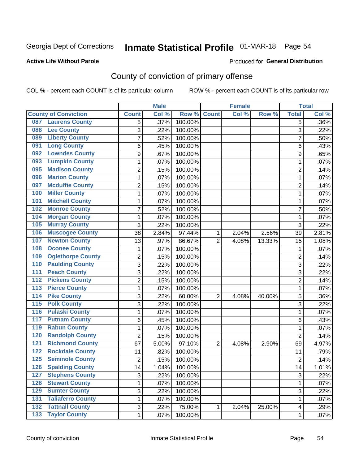### Inmate Statistical Profile 01-MAR-18 Page 54

#### **Active Life Without Parole**

#### **Produced for General Distribution**

### County of conviction of primary offense

COL % - percent each COUNT is of its particular column

|                                          |                 | <b>Male</b> |         |                | <b>Female</b> |        |                 | <b>Total</b> |
|------------------------------------------|-----------------|-------------|---------|----------------|---------------|--------|-----------------|--------------|
| <b>County of Conviction</b>              | <b>Count</b>    | Col %       | Row %   | <b>Count</b>   | Col %         | Row %  | <b>Total</b>    | Col %        |
| <b>Laurens County</b><br>087             | 5               | .37%        | 100.00% |                |               |        | 5               | $.36\%$      |
| <b>Lee County</b><br>088                 | 3               | .22%        | 100.00% |                |               |        | 3               | .22%         |
| <b>Liberty County</b><br>089             | 7               | .52%        | 100.00% |                |               |        | 7               | .50%         |
| <b>Long County</b><br>091                | 6               | .45%        | 100.00% |                |               |        | 6               | .43%         |
| <b>Lowndes County</b><br>092             | 9               | .67%        | 100.00% |                |               |        | 9               | .65%         |
| <b>Lumpkin County</b><br>093             | 1               | .07%        | 100.00% |                |               |        | 1               | .07%         |
| <b>Madison County</b><br>095             | $\overline{2}$  | .15%        | 100.00% |                |               |        | $\overline{2}$  | .14%         |
| <b>Marion County</b><br>096              | $\mathbf{1}$    | .07%        | 100.00% |                |               |        | $\mathbf{1}$    | .07%         |
| <b>Mcduffie County</b><br>097            | 2               | .15%        | 100.00% |                |               |        | 2               | .14%         |
| <b>Miller County</b><br>100              | 1               | .07%        | 100.00% |                |               |        | 1               | .07%         |
| <b>Mitchell County</b><br>101            | $\mathbf{1}$    | .07%        | 100.00% |                |               |        | 1               | .07%         |
| <b>Monroe County</b><br>102              | $\overline{7}$  | .52%        | 100.00% |                |               |        | $\overline{7}$  | .50%         |
| <b>Morgan County</b><br>104              | 1               | .07%        | 100.00% |                |               |        | 1               | .07%         |
| <b>Murray County</b><br>105              | 3               | .22%        | 100.00% |                |               |        | 3               | .22%         |
| <b>Muscogee County</b><br>106            | 38              | 2.84%       | 97.44%  | 1              | 2.04%         | 2.56%  | 39              | 2.81%        |
| <b>Newton County</b><br>107              | 13              | .97%        | 86.67%  | $\overline{2}$ | 4.08%         | 13.33% | 15              | 1.08%        |
| <b>Oconee County</b><br>108              | 1               | .07%        | 100.00% |                |               |        | 1               | .07%         |
| <b>Oglethorpe County</b><br>109          | $\overline{c}$  | .15%        | 100.00% |                |               |        | $\overline{2}$  | .14%         |
| <b>Paulding County</b><br>110            | 3               | .22%        | 100.00% |                |               |        | 3               | .22%         |
| <b>Peach County</b><br>111               | 3               | .22%        | 100.00% |                |               |        | 3               | .22%         |
| <b>Pickens County</b><br>112             | $\overline{2}$  | .15%        | 100.00% |                |               |        | $\overline{2}$  | .14%         |
| <b>Pierce County</b><br>113              | 1               | .07%        | 100.00% |                |               |        | 1               | .07%         |
| <b>Pike County</b><br>114                | 3               | .22%        | 60.00%  | $\overline{2}$ | 4.08%         | 40.00% | 5               | .36%         |
| <b>Polk County</b><br>115                | 3               | .22%        | 100.00% |                |               |        | 3               | .22%         |
| <b>Pulaski County</b><br>116             | 1               | .07%        | 100.00% |                |               |        | 1               | .07%         |
| <b>Putnam County</b><br>117              | 6               | .45%        | 100.00% |                |               |        | 6               | .43%         |
| <b>Rabun County</b><br>119               | 1               | .07%        | 100.00% |                |               |        | 1               | .07%         |
| <b>Randolph County</b><br>120            | $\overline{2}$  | .15%        | 100.00% |                |               |        | $\overline{2}$  | .14%         |
| <b>Richmond County</b><br>121            | 67              | 5.00%       | 97.10%  | $\overline{2}$ | 4.08%         | 2.90%  | 69              | 4.97%        |
| <b>Rockdale County</b><br>122            | 11              | .82%        | 100.00% |                |               |        | 11              | .79%         |
| <b>Seminole County</b><br>125            | $\overline{2}$  | .15%        | 100.00% |                |               |        | $\overline{2}$  | .14%         |
| 126<br><b>Spalding County</b>            | $\overline{14}$ | 1.04%       | 100.00% |                |               |        | $\overline{14}$ | 1.01%        |
| <b>Stephens County</b><br>127            | 3               | .22%        | 100.00% |                |               |        | 3               | .22%         |
| <b>Stewart County</b><br>128             | 1               | .07%        | 100.00% |                |               |        | 1               | .07%         |
| <b>Sumter County</b><br>129              | 3               | .22%        | 100.00% |                |               |        | 3               | .22%         |
| <b>Taliaferro County</b><br>131          | 1               | .07%        | 100.00% |                |               |        | $\mathbf{1}$    | .07%         |
| <b>Tattnall County</b><br>132            | 3               | .22%        | 75.00%  | 1              | 2.04%         | 25.00% | 4               | .29%         |
| <b>Taylor County</b><br>$\overline{133}$ | 1               | .07%        | 100.00% |                |               |        | 1               | .07%         |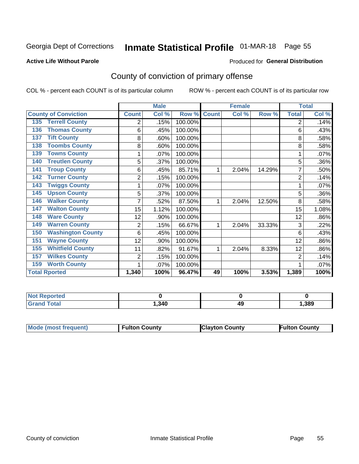### Inmate Statistical Profile 01-MAR-18 Page 55

#### **Active Life Without Parole**

#### Produced for General Distribution

### County of conviction of primary offense

COL % - percent each COUNT is of its particular column

|                                 |                | <b>Male</b> |         |              | <b>Female</b> |        |                | <b>Total</b> |
|---------------------------------|----------------|-------------|---------|--------------|---------------|--------|----------------|--------------|
| <b>County of Conviction</b>     | <b>Count</b>   | Col %       | Row %   | <b>Count</b> | Col %         | Row %  | <b>Total</b>   | Col %        |
| <b>Terrell County</b><br>135    | 2              | .15%        | 100.00% |              |               |        | 2              | .14%         |
| <b>Thomas County</b><br>136     | 6              | .45%        | 100.00% |              |               |        | 6              | .43%         |
| <b>Tift County</b><br>137       | 8              | .60%        | 100.00% |              |               |        | 8              | .58%         |
| <b>Toombs County</b><br>138     | 8              | .60%        | 100.00% |              |               |        | 8              | .58%         |
| <b>Towns County</b><br>139      | 1              | .07%        | 100.00% |              |               |        |                | .07%         |
| <b>Treutlen County</b><br>140   | 5              | .37%        | 100.00% |              |               |        | 5              | .36%         |
| <b>Troup County</b><br>141      | 6              | .45%        | 85.71%  | 1            | 2.04%         | 14.29% | 7              | .50%         |
| <b>Turner County</b><br>142     | $\overline{2}$ | .15%        | 100.00% |              |               |        | $\overline{2}$ | .14%         |
| <b>Twiggs County</b><br>143     |                | .07%        | 100.00% |              |               |        |                | .07%         |
| <b>Upson County</b><br>145      | 5              | .37%        | 100.00% |              |               |        | 5              | .36%         |
| <b>Walker County</b><br>146     |                | .52%        | 87.50%  | 1            | 2.04%         | 12.50% | 8              | .58%         |
| <b>Walton County</b><br>147     | 15             | 1.12%       | 100.00% |              |               |        | 15             | 1.08%        |
| <b>Ware County</b><br>148       | 12             | .90%        | 100.00% |              |               |        | 12             | .86%         |
| <b>Warren County</b><br>149     | 2              | .15%        | 66.67%  | 1            | 2.04%         | 33.33% | 3              | .22%         |
| <b>Washington County</b><br>150 | 6              | .45%        | 100.00% |              |               |        | 6              | .43%         |
| <b>Wayne County</b><br>151      | 12             | .90%        | 100.00% |              |               |        | 12             | .86%         |
| <b>Whitfield County</b><br>155  | 11             | .82%        | 91.67%  | 1            | 2.04%         | 8.33%  | 12             | .86%         |
| <b>Wilkes County</b><br>157     | $\overline{2}$ | .15%        | 100.00% |              |               |        | 2              | .14%         |
| <b>Worth County</b><br>159      | 1              | .07%        | 100.00% |              |               |        |                | .07%         |
| <b>Total Rported</b>            | 1,340          | 100%        | 96.47%  | 49           | 100%          | 3.53%  | 1,389          | 100%         |

| rreo        |       |    |      |
|-------------|-------|----|------|
| $F = 4 - F$ | , 340 | 49 | ,389 |

| Mode (most frequent) | <b>Fulton County</b> | <b>Clayton County</b> | <b>Fulton County</b> |
|----------------------|----------------------|-----------------------|----------------------|
|                      |                      |                       |                      |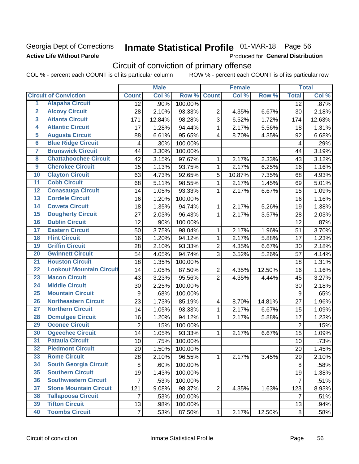### Georgia Dept of Corrections **Active Life Without Parole**

# Inmate Statistical Profile 01-MAR-18 Page 56

Produced for General Distribution

### Circuit of conviction of primary offense

|                         |                                 |                         | <b>Male</b> |         |                         | <b>Female</b> |        |                         | <b>Total</b> |
|-------------------------|---------------------------------|-------------------------|-------------|---------|-------------------------|---------------|--------|-------------------------|--------------|
|                         | <b>Circuit of Conviction</b>    | <b>Count</b>            | Col %       | Row %   | <b>Count</b>            | Col %         | Row %  | <b>Total</b>            | Col %        |
| 1                       | <b>Alapaha Circuit</b>          | 12                      | .90%        | 100.00% |                         |               |        | 12                      | .87%         |
| $\overline{2}$          | <b>Alcovy Circuit</b>           | 28                      | 2.10%       | 93.33%  | $\overline{2}$          | 4.35%         | 6.67%  | 30                      | 2.18%        |
| $\overline{\mathbf{3}}$ | <b>Atlanta Circuit</b>          | 171                     | 12.84%      | 98.28%  | 3                       | 6.52%         | 1.72%  | 174                     | 12.63%       |
| 4                       | <b>Atlantic Circuit</b>         | 17                      | 1.28%       | 94.44%  | $\mathbf{1}$            | 2.17%         | 5.56%  | 18                      | 1.31%        |
| $\overline{5}$          | <b>Augusta Circuit</b>          | 88                      | 6.61%       | 95.65%  | $\overline{4}$          | 8.70%         | 4.35%  | 92                      | 6.68%        |
| $\overline{6}$          | <b>Blue Ridge Circuit</b>       | $\overline{\mathbf{4}}$ | .30%        | 100.00% |                         |               |        | $\overline{\mathbf{4}}$ | .29%         |
| 7                       | <b>Brunswick Circuit</b>        | 44                      | 3.30%       | 100.00% |                         |               |        | 44                      | 3.19%        |
| 8                       | <b>Chattahoochee Circuit</b>    | 42                      | 3.15%       | 97.67%  | 1                       | 2.17%         | 2.33%  | 43                      | 3.12%        |
| $\overline{9}$          | <b>Cherokee Circuit</b>         | 15                      | 1.13%       | 93.75%  | $\mathbf{1}$            | 2.17%         | 6.25%  | 16                      | 1.16%        |
| 10                      | <b>Clayton Circuit</b>          | 63                      | 4.73%       | 92.65%  | 5                       | 10.87%        | 7.35%  | 68                      | 4.93%        |
| $\overline{11}$         | <b>Cobb Circuit</b>             | 68                      | 5.11%       | 98.55%  | $\mathbf{1}$            | 2.17%         | 1.45%  | 69                      | 5.01%        |
| $\overline{12}$         | <b>Conasauga Circuit</b>        | 14                      | 1.05%       | 93.33%  | $\mathbf{1}$            | 2.17%         | 6.67%  | 15                      | 1.09%        |
| $\overline{13}$         | <b>Cordele Circuit</b>          | 16                      | 1.20%       | 100.00% |                         |               |        | 16                      | 1.16%        |
| $\overline{14}$         | <b>Coweta Circuit</b>           | 18                      | 1.35%       | 94.74%  | $\mathbf{1}$            | 2.17%         | 5.26%  | 19                      | 1.38%        |
| $\overline{15}$         | <b>Dougherty Circuit</b>        | 27                      | 2.03%       | 96.43%  | $\mathbf{1}$            | 2.17%         | 3.57%  | 28                      | 2.03%        |
| 16                      | <b>Dublin Circuit</b>           | 12                      | .90%        | 100.00% |                         |               |        | 12                      | .87%         |
| $\overline{17}$         | <b>Eastern Circuit</b>          | 50                      | 3.75%       | 98.04%  | 1                       | 2.17%         | 1.96%  | 51                      | 3.70%        |
| $\overline{18}$         | <b>Flint Circuit</b>            | 16                      | 1.20%       | 94.12%  | $\mathbf{1}$            | 2.17%         | 5.88%  | 17                      | 1.23%        |
| 19                      | <b>Griffin Circuit</b>          | 28                      | 2.10%       | 93.33%  | $\overline{2}$          | 4.35%         | 6.67%  | 30                      | 2.18%        |
| 20                      | <b>Gwinnett Circuit</b>         | 54                      | 4.05%       | 94.74%  | 3                       | 6.52%         | 5.26%  | 57                      | 4.14%        |
| $\overline{21}$         | <b>Houston Circuit</b>          | 18                      | 1.35%       | 100.00% |                         |               |        | 18                      | 1.31%        |
| $\overline{22}$         | <b>Lookout Mountain Circuit</b> | 14                      | 1.05%       | 87.50%  | $\overline{2}$          | 4.35%         | 12.50% | 16                      | 1.16%        |
| 23                      | <b>Macon Circuit</b>            | 43                      | 3.23%       | 95.56%  | $\overline{2}$          | 4.35%         | 4.44%  | 45                      | 3.27%        |
| 24                      | <b>Middle Circuit</b>           | 30                      | 2.25%       | 100.00% |                         |               |        | 30                      | 2.18%        |
| $\overline{25}$         | <b>Mountain Circuit</b>         | $\boldsymbol{9}$        | .68%        | 100.00% |                         |               |        | 9                       | .65%         |
| 26                      | <b>Northeastern Circuit</b>     | 23                      | 1.73%       | 85.19%  | $\overline{\mathbf{4}}$ | 8.70%         | 14.81% | 27                      | 1.96%        |
| $\overline{27}$         | <b>Northern Circuit</b>         | 14                      | 1.05%       | 93.33%  | $\mathbf{1}$            | 2.17%         | 6.67%  | 15                      | 1.09%        |
| 28                      | <b>Ocmulgee Circuit</b>         | 16                      | 1.20%       | 94.12%  | 1                       | 2.17%         | 5.88%  | 17                      | 1.23%        |
| 29                      | <b>Oconee Circuit</b>           | $\overline{2}$          | .15%        | 100.00% |                         |               |        | $\overline{2}$          | .15%         |
| 30                      | <b>Ogeechee Circuit</b>         | 14                      | 1.05%       | 93.33%  | $\mathbf{1}$            | 2.17%         | 6.67%  | 15                      | 1.09%        |
| $\overline{31}$         | <b>Pataula Circuit</b>          | 10                      | .75%        | 100.00% |                         |               |        | 10                      | .73%         |
| 32                      | <b>Piedmont Circuit</b>         | 20                      | 1.50%       | 100.00% |                         |               |        | 20                      | 1.45%        |
| 33                      | <b>Rome Circuit</b>             | 28                      | 2.10%       | 96.55%  | $\mathbf{1}$            | 2.17%         | 3.45%  | 29                      | 2.10%        |
| 34                      | <b>South Georgia Circuit</b>    | 8                       | .60%        | 100.00% |                         |               |        | 8                       | .58%         |
| 35                      | <b>Southern Circuit</b>         | 19                      | 1.43%       | 100.00% |                         |               |        | 19                      | 1.38%        |
| 36                      | <b>Southwestern Circuit</b>     | $\overline{7}$          | .53%        | 100.00% |                         |               |        | $\overline{7}$          | .51%         |
| 37                      | <b>Stone Mountain Circuit</b>   | 121                     | 9.08%       | 98.37%  | $\overline{2}$          | 4.35%         | 1.63%  | 123                     | 8.93%        |
| 38                      | <b>Tallapoosa Circuit</b>       | 7                       | .53%        | 100.00% |                         |               |        | 7                       | .51%         |
| 39                      | <b>Tifton Circuit</b>           | 13                      | .98%        | 100.00% |                         |               |        | 13                      | .94%         |
| 40                      | <b>Toombs Circuit</b>           | $\overline{7}$          | .53%        | 87.50%  | $\mathbf{1}$            | 2.17%         | 12.50% | 8                       | .58%         |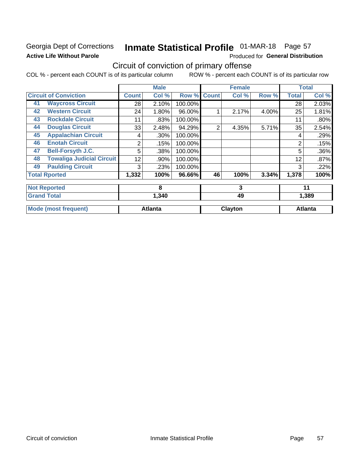### Georgia Dept of Corrections **Active Life Without Parole**

# Inmate Statistical Profile 01-MAR-18 Page 57

Produced for General Distribution

### Circuit of conviction of primary offense

|    |                                  |              | <b>Male</b>    |         |                | <b>Female</b> |       |              | <b>Total</b>   |
|----|----------------------------------|--------------|----------------|---------|----------------|---------------|-------|--------------|----------------|
|    | <b>Circuit of Conviction</b>     | <b>Count</b> | Col %          | Row %   | <b>Count</b>   | Col %         | Row % | <b>Total</b> | Col %          |
| 41 | <b>Waycross Circuit</b>          | 28           | 2.10%          | 100.00% |                |               |       | 28           | 2.03%          |
| 42 | <b>Western Circuit</b>           | 24           | 1.80%          | 96.00%  |                | 2.17%         | 4.00% | 25           | 1.81%          |
| 43 | <b>Rockdale Circuit</b>          | 11           | .83%           | 100.00% |                |               |       | 11           | .80%           |
| 44 | <b>Douglas Circuit</b>           | 33           | 2.48%          | 94.29%  | $\overline{2}$ | 4.35%         | 5.71% | 35           | 2.54%          |
| 45 | <b>Appalachian Circuit</b>       | 4            | .30%           | 100.00% |                |               |       | 4            | .29%           |
| 46 | <b>Enotah Circuit</b>            | 2            | .15%           | 100.00% |                |               |       | 2            | .15%           |
| 47 | <b>Bell-Forsyth J.C.</b>         | 5            | .38%           | 100.00% |                |               |       | 5            | .36%           |
| 48 | <b>Towaliga Judicial Circuit</b> | 12           | .90%           | 100.00% |                |               |       | 12           | .87%           |
| 49 | <b>Paulding Circuit</b>          | 3            | .23%           | 100.00% |                |               |       | 3            | .22%           |
|    | <b>Total Rported</b>             | 1,332        | 100%           | 96.66%  | 46             | 100%          | 3.34% | 1,378        | 100%           |
|    | <b>Not Reported</b>              |              | 8              |         |                | 3             |       |              | 11             |
|    | <b>Grand Total</b>               |              | 1,340          |         |                | 49            |       |              | 1,389          |
|    | <b>Mode (most frequent)</b>      |              | <b>Atlanta</b> |         |                | Clayton       |       |              | <b>Atlanta</b> |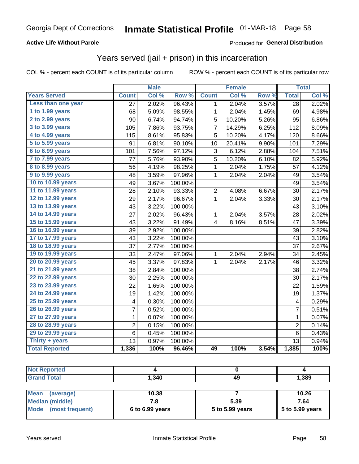#### **Active Life Without Parole**

### **Produced for General Distribution**

### Years served (jail + prison) in this incarceration

COL % - percent each COUNT is of its particular column

|                        |                 | <b>Male</b> |                  |                | <b>Female</b> |       |                 | <b>Total</b> |
|------------------------|-----------------|-------------|------------------|----------------|---------------|-------|-----------------|--------------|
| <b>Years Served</b>    | <b>Count</b>    | Col %       | Row <sup>%</sup> | <b>Count</b>   | Col %         | Row % | <b>Total</b>    | Col %        |
| Less than one year     | $\overline{27}$ | 2.02%       | 96.43%           | 1              | 2.04%         | 3.57% | $\overline{28}$ | 2.02%        |
| 1 to 1.99 years        | 68              | 5.09%       | 98.55%           | 1              | 2.04%         | 1.45% | 69              | 4.98%        |
| 2 to 2.99 years        | 90              | 6.74%       | 94.74%           | 5              | 10.20%        | 5.26% | 95              | 6.86%        |
| 3 to 3.99 years        | 105             | 7.86%       | 93.75%           | 7              | 14.29%        | 6.25% | 112             | 8.09%        |
| 4 to 4.99 years        | 115             | 8.61%       | 95.83%           | 5              | 10.20%        | 4.17% | 120             | 8.66%        |
| 5 to 5.99 years        | 91              | 6.81%       | 90.10%           | 10             | 20.41%        | 9.90% | 101             | 7.29%        |
| 6 to 6.99 years        | 101             | 7.56%       | 97.12%           | 3              | 6.12%         | 2.88% | 104             | 7.51%        |
| 7 to 7.99 years        | 77              | 5.76%       | 93.90%           | 5              | 10.20%        | 6.10% | 82              | 5.92%        |
| <b>8 to 8.99 years</b> | 56              | 4.19%       | 98.25%           | 1              | 2.04%         | 1.75% | 57              | 4.12%        |
| 9 to 9.99 years        | 48              | 3.59%       | 97.96%           | $\mathbf 1$    | 2.04%         | 2.04% | 49              | 3.54%        |
| 10 to 10.99 years      | 49              | 3.67%       | 100.00%          |                |               |       | 49              | 3.54%        |
| 11 to 11.99 years      | 28              | 2.10%       | 93.33%           | $\overline{2}$ | 4.08%         | 6.67% | 30              | 2.17%        |
| 12 to 12.99 years      | 29              | 2.17%       | 96.67%           | 1              | 2.04%         | 3.33% | 30              | 2.17%        |
| 13 to 13.99 years      | 43              | 3.22%       | 100.00%          |                |               |       | 43              | 3.10%        |
| 14 to 14.99 years      | 27              | 2.02%       | 96.43%           | 1              | 2.04%         | 3.57% | 28              | 2.02%        |
| 15 to 15.99 years      | 43              | 3.22%       | 91.49%           | 4              | 8.16%         | 8.51% | 47              | 3.39%        |
| 16 to 16.99 years      | 39              | 2.92%       | 100.00%          |                |               |       | 39              | 2.82%        |
| 17 to 17.99 years      | 43              | 3.22%       | 100.00%          |                |               |       | 43              | 3.10%        |
| 18 to 18.99 years      | 37              | 2.77%       | 100.00%          |                |               |       | 37              | 2.67%        |
| 19 to 19.99 years      | 33              | 2.47%       | 97.06%           | 1              | 2.04%         | 2.94% | 34              | 2.45%        |
| 20 to 20.99 years      | 45              | 3.37%       | 97.83%           | 1              | 2.04%         | 2.17% | 46              | 3.32%        |
| 21 to 21.99 years      | 38              | 2.84%       | 100.00%          |                |               |       | 38              | 2.74%        |
| 22 to 22.99 years      | 30              | 2.25%       | 100.00%          |                |               |       | 30              | 2.17%        |
| 23 to 23.99 years      | 22              | 1.65%       | 100.00%          |                |               |       | 22              | 1.59%        |
| 24 to 24.99 years      | 19              | 1.42%       | 100.00%          |                |               |       | 19              | 1.37%        |
| 25 to 25.99 years      | 4               | 0.30%       | 100.00%          |                |               |       | 4               | 0.29%        |
| 26 to 26.99 years      | $\overline{7}$  | 0.52%       | 100.00%          |                |               |       | $\overline{7}$  | 0.51%        |
| 27 to 27.99 years      | $\mathbf 1$     | 0.07%       | 100.00%          |                |               |       | $\mathbf 1$     | 0.07%        |
| 28 to 28.99 years      | $\overline{2}$  | 0.15%       | 100.00%          |                |               |       | $\overline{2}$  | 0.14%        |
| 29 to 29.99 years      | 6               | 0.45%       | 100.00%          |                |               |       | 6               | 0.43%        |
| Thirty + years         | 13              | 0.97%       | 100.00%          |                |               |       | 13              | 0.94%        |
| <b>Total Reported</b>  | 1,336           | 100%        | 96.46%           | 49             | 100%          | 3.54% | 1,385           | 100%         |

| <b>rted</b><br>'NO. |       |          |       |
|---------------------|-------|----------|-------|
| <b>Total</b>        | 1,340 | 40<br>TW | 1,389 |
|                     |       |          |       |

| <b>Mean</b><br>(average) | 10.38             |                 | 10.26             |
|--------------------------|-------------------|-----------------|-------------------|
| Median (middle)          |                   | 5.39            | 7.64              |
| Mode (most frequent)     | $6$ to 6.99 years | 5 to 5.99 years | $5$ to 5.99 years |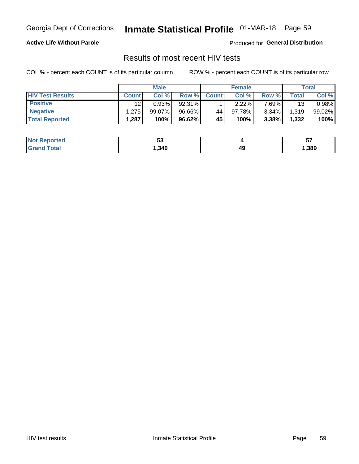### Inmate Statistical Profile 01-MAR-18 Page 59

#### **Active Life Without Parole**

Produced for General Distribution

### Results of most recent HIV tests

COL % - percent each COUNT is of its particular column

|                         | <b>Male</b>  |           |        | <b>Female</b> |           |        | Total |        |
|-------------------------|--------------|-----------|--------|---------------|-----------|--------|-------|--------|
| <b>HIV Test Results</b> | <b>Count</b> | Col%      | Row %I | <b>Count</b>  | Col %     | Row %  | Total | Col %  |
| <b>Positive</b>         | 12           | 0.93%     | 92.31% |               | $2.22\%$  | 7 69%∎ | 13    | 0.98%  |
| <b>Negative</b>         | .275         | $99.07\%$ | 96.66% | 44            | $97.78\%$ | 3.34%  | 1,319 | 99.02% |
| <b>Total Reported</b>   | .287         | 100%      | 96.62% | <b>45'</b>    | 100%      | 3.38%  | 1,332 | 100%   |

| <b>Not Reported</b> | Ju   |    | J.   |
|---------------------|------|----|------|
| iotal<br>. Grec     | ,340 | 49 | ,389 |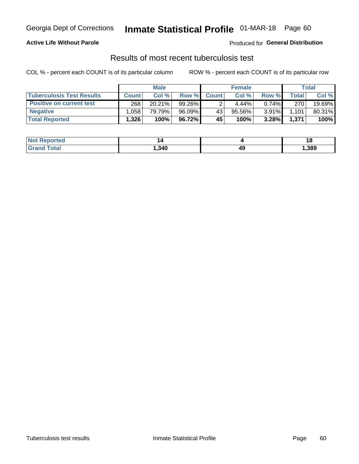### Georgia Dept of Corrections **Inmate Statistical Profile** 01-MAR-18 Page 60

#### **Active Life Without Parole**

Produced for **General Distribution**

### Results of most recent tuberculosis test

|                                  | <b>Male</b>  |        |        | <b>Female</b> |        |          | Total |        |
|----------------------------------|--------------|--------|--------|---------------|--------|----------|-------|--------|
| <b>Tuberculosis Test Results</b> | <b>Count</b> | Col%   | Row %I | <b>Count</b>  | Col%   | Row %    | Total | Col %  |
| <b>Positive on current test</b>  | 268          | 20.21% | 99.26% |               | 4.44%  | $0.74\%$ | 270   | 19.69% |
| <b>Negative</b>                  | .058         | 79.79% | 96.09% | 43            | 95.56% | $3.91\%$ | 1,101 | 80.31% |
| <b>Total Reported</b>            | 1,326        | 100%   | 96.72% | 45            | 100%   | 3.28%    | 1,371 | 100%   |

| <b>Not Reported</b> |        |    | . .  |
|---------------------|--------|----|------|
| <b>Grand Total</b>  | 340. ا | 49 | ,389 |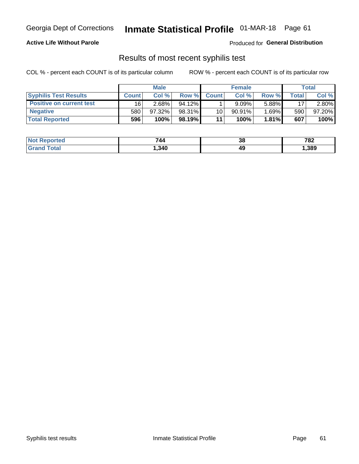### Georgia Dept of Corrections **Inmate Statistical Profile** 01-MAR-18 Page 61

#### **Active Life Without Parole**

Produced for **General Distribution**

### Results of most recent syphilis test

|                                 | <b>Male</b>  |           |           | <b>Female</b> |           |          | Total   |        |
|---------------------------------|--------------|-----------|-----------|---------------|-----------|----------|---------|--------|
| <b>Syphilis Test Results</b>    | <b>Count</b> | Col%      | Row %     | <b>Count</b>  | Col%      | Row %    | ⊤otal ⊦ | Col %  |
| <b>Positive on current test</b> | 16'          | $2.68\%$  | $94.12\%$ |               | 9.09%     | 5.88%    | 17      | 2.80%  |
| <b>Negative</b>                 | 580          | $97.32\%$ | 98.31%    | 10            | $90.91\%$ | $1.69\%$ | 590     | 97.20% |
| <b>Total Reported</b>           | 596          | 100%      | 98.19%    | 11            | 100%      | $1.81\%$ | 607     | 100%   |

| <b>Not Reported</b> | 744  | っ<br>აი | 782  |
|---------------------|------|---------|------|
| Total<br>Grand      | ,340 | 49      | ,389 |